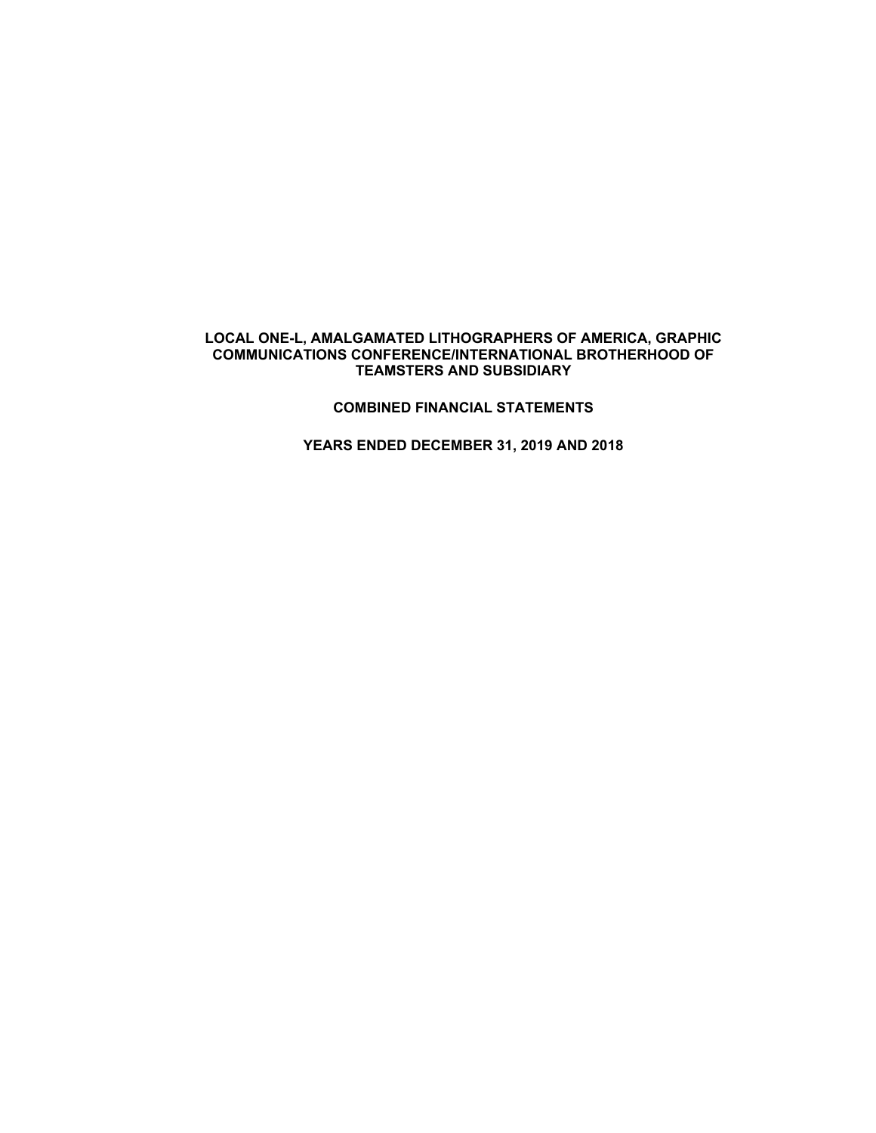#### **COMBINED FINANCIAL STATEMENTS**

**YEARS ENDED DECEMBER 31, 2019 AND 2018**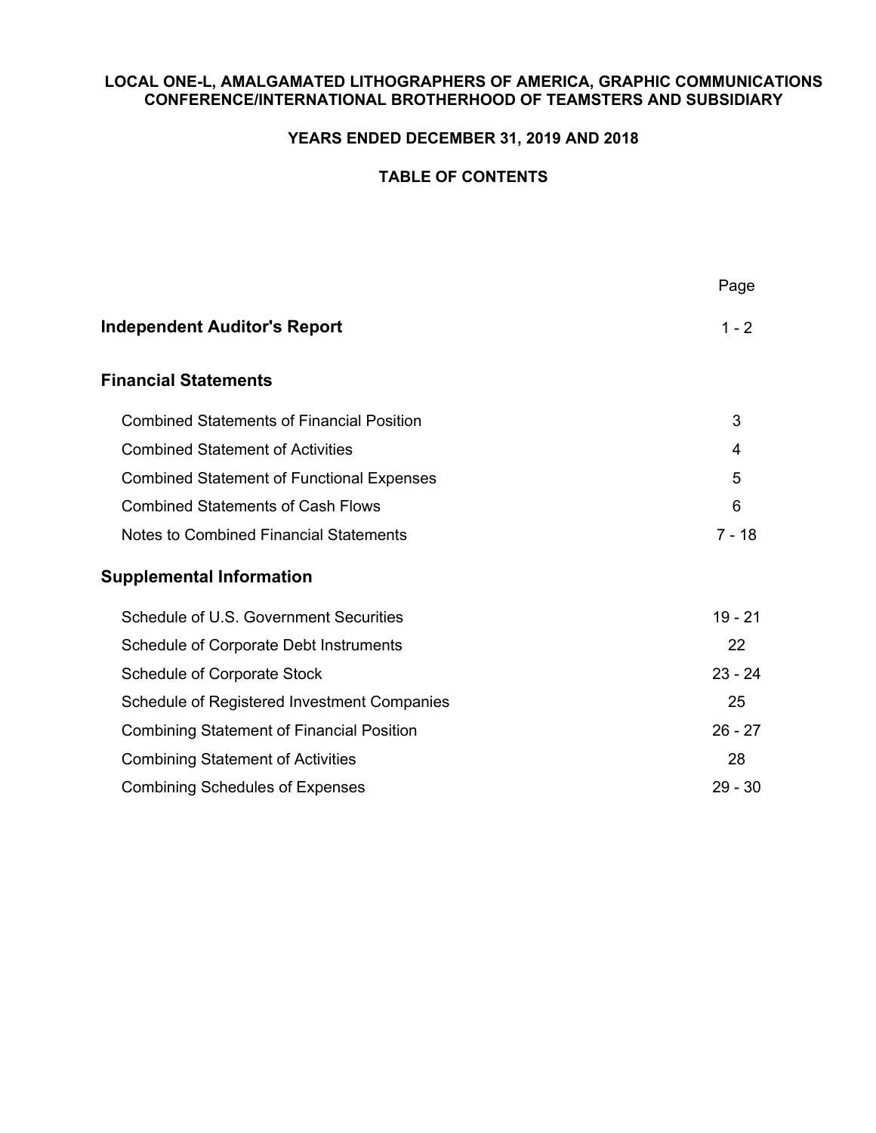## **YEARS ENDED DECEMBER 31, 2019 AND 2018**

# **TABLE OF CONTENTS**

| Page      |
|-----------|
| $1 - 2$   |
|           |
| 3         |
| 4         |
| 5         |
| 6         |
| $7 - 18$  |
|           |
| $19 - 21$ |
| 22        |
| $23 - 24$ |
| 25        |
| $26 - 27$ |
| 28        |
| $29 - 30$ |
|           |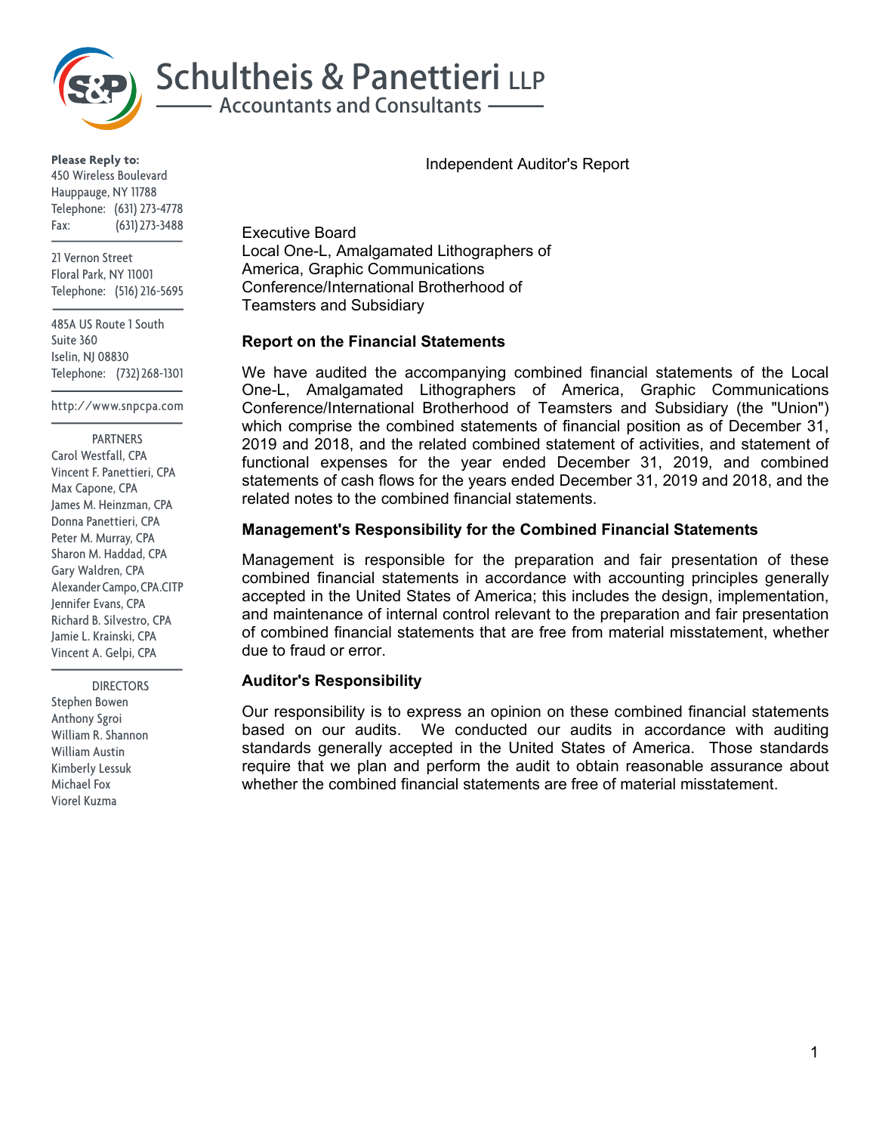

**Please Reply to:** 450 Wireless Boulevard Hauppauge, NY 11788 Telephone: (631) 273-4778 Fax: (631) 273-3488

21 Vernon Street Floral Park, NY 11001 Telephone: (516) 216-5695

485A US Route 1 South Suite 360 Iselin, NJ 08830 Telephone: (732) 268-1301

http://www.snpcpa.com

#### **PARTNERS**

Carol Westfall, CPA Vincent F. Panettieri, CPA Max Capone, CPA James M. Heinzman, CPA Donna Panettieri, CPA Peter M. Murray, CPA Sharon M. Haddad, CPA Gary Waldren, CPA Alexander Campo, CPA.CITP Jennifer Evans, CPA Richard B. Silvestro, CPA Jamie L. Krainski, CPA Vincent A. Gelpi, CPA

 DIRECTORS Stephen Bowen Anthony Sgroi William R. Shannon William Austin Kimberly Lessuk Michael Fox Viorel Kuzma

Executive Board Local One-L, Amalgamated Lithographers of America, Graphic Communications Conference/International Brotherhood of Teamsters and Subsidiary

#### **Report on the Financial Statements**

We have audited the accompanying combined financial statements of the Local One-L, Amalgamated Lithographers of America, Graphic Communications Conference/International Brotherhood of Teamsters and Subsidiary (the "Union") which comprise the combined statements of financial position as of December 31, 2019 and 2018, and the related combined statement of activities, and statement of functional expenses for the year ended December 31, 2019, and combined statements of cash flows for the years ended December 31, 2019 and 2018, and the related notes to the combined financial statements.

## **Management's Responsibility for the Combined Financial Statements**

Management is responsible for the preparation and fair presentation of these combined financial statements in accordance with accounting principles generally accepted in the United States of America; this includes the design, implementation, and maintenance of internal control relevant to the preparation and fair presentation of combined financial statements that are free from material misstatement, whether due to fraud or error.

## **Auditor's Responsibility**

Our responsibility is to express an opinion on these combined financial statements based on our audits. We conducted our audits in accordance with auditing standards generally accepted in the United States of America. Those standards require that we plan and perform the audit to obtain reasonable assurance about whether the combined financial statements are free of material misstatement.

Independent Auditor's Report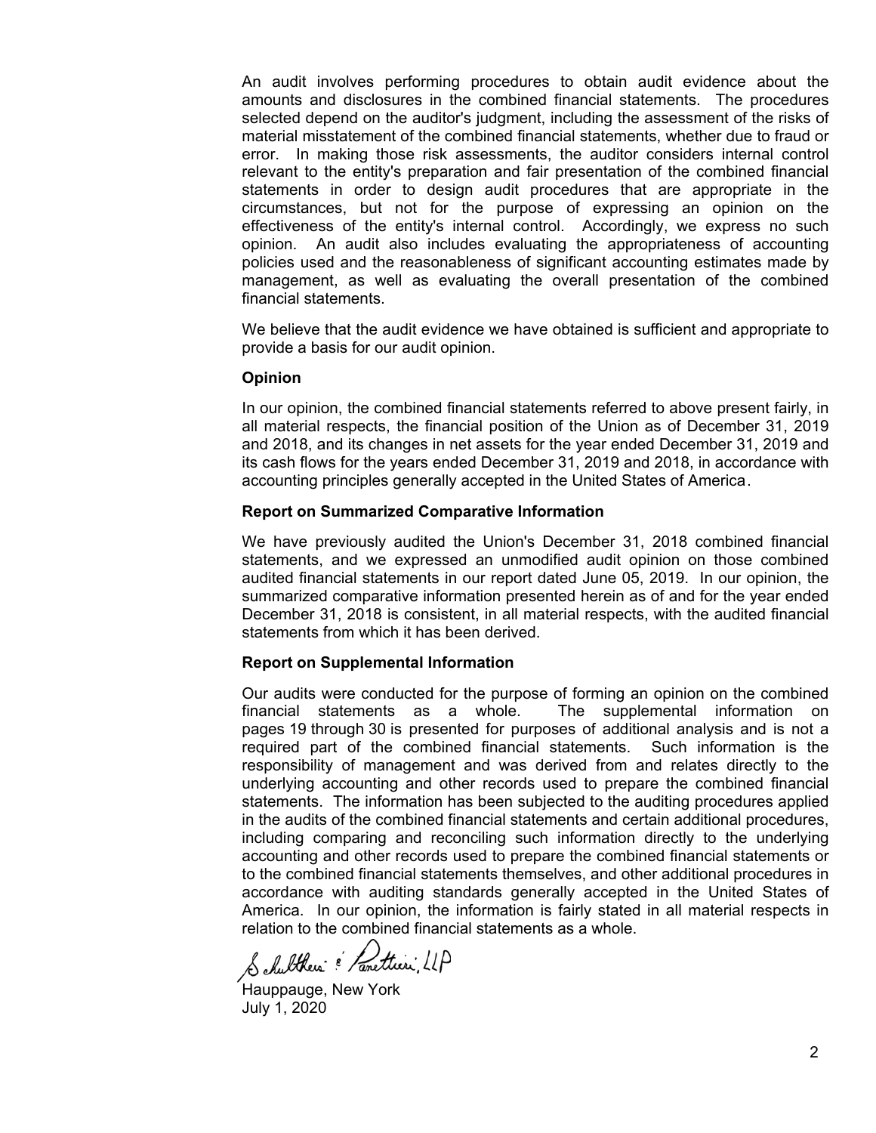An audit involves performing procedures to obtain audit evidence about the amounts and disclosures in the combined financial statements. The procedures selected depend on the auditor's judgment, including the assessment of the risks of material misstatement of the combined financial statements, whether due to fraud or error. In making those risk assessments, the auditor considers internal control relevant to the entity's preparation and fair presentation of the combined financial statements in order to design audit procedures that are appropriate in the circumstances, but not for the purpose of expressing an opinion on the effectiveness of the entity's internal control. Accordingly, we express no such opinion. An audit also includes evaluating the appropriateness of accounting policies used and the reasonableness of significant accounting estimates made by management, as well as evaluating the overall presentation of the combined financial statements.

We believe that the audit evidence we have obtained is sufficient and appropriate to provide a basis for our audit opinion.

#### **Opinion**

In our opinion, the combined financial statements referred to above present fairly, in all material respects, the financial position of the Union as of December 31, 2019 and 2018, and its changes in net assets for the year ended December 31, 2019 and its cash flows for the years ended December 31, 2019 and 2018, in accordance with accounting principles generally accepted in the United States of America.

#### **Report on Summarized Comparative Information**

We have previously audited the Union's December 31, 2018 combined financial statements, and we expressed an unmodified audit opinion on those combined audited financial statements in our report dated June 05, 2019. In our opinion, the summarized comparative information presented herein as of and for the year ended December 31, 2018 is consistent, in all material respects, with the audited financial statements from which it has been derived.

#### **Report on Supplemental Information**

Our audits were conducted for the purpose of forming an opinion on the combined financial statements as a whole. The supplemental information on pages 19 through 30 is presented for purposes of additional analysis and is not a required part of the combined financial statements. Such information is the responsibility of management and was derived from and relates directly to the underlying accounting and other records used to prepare the combined financial statements. The information has been subjected to the auditing procedures applied in the audits of the combined financial statements and certain additional procedures, including comparing and reconciling such information directly to the underlying accounting and other records used to prepare the combined financial statements or to the combined financial statements themselves, and other additional procedures in accordance with auditing standards generally accepted in the United States of America. In our opinion, the information is fairly stated in all material respects in relation to the combined financial statements as a whole.

Schultkers & Panettieri, LLP

Hauppauge, New York July 1, 2020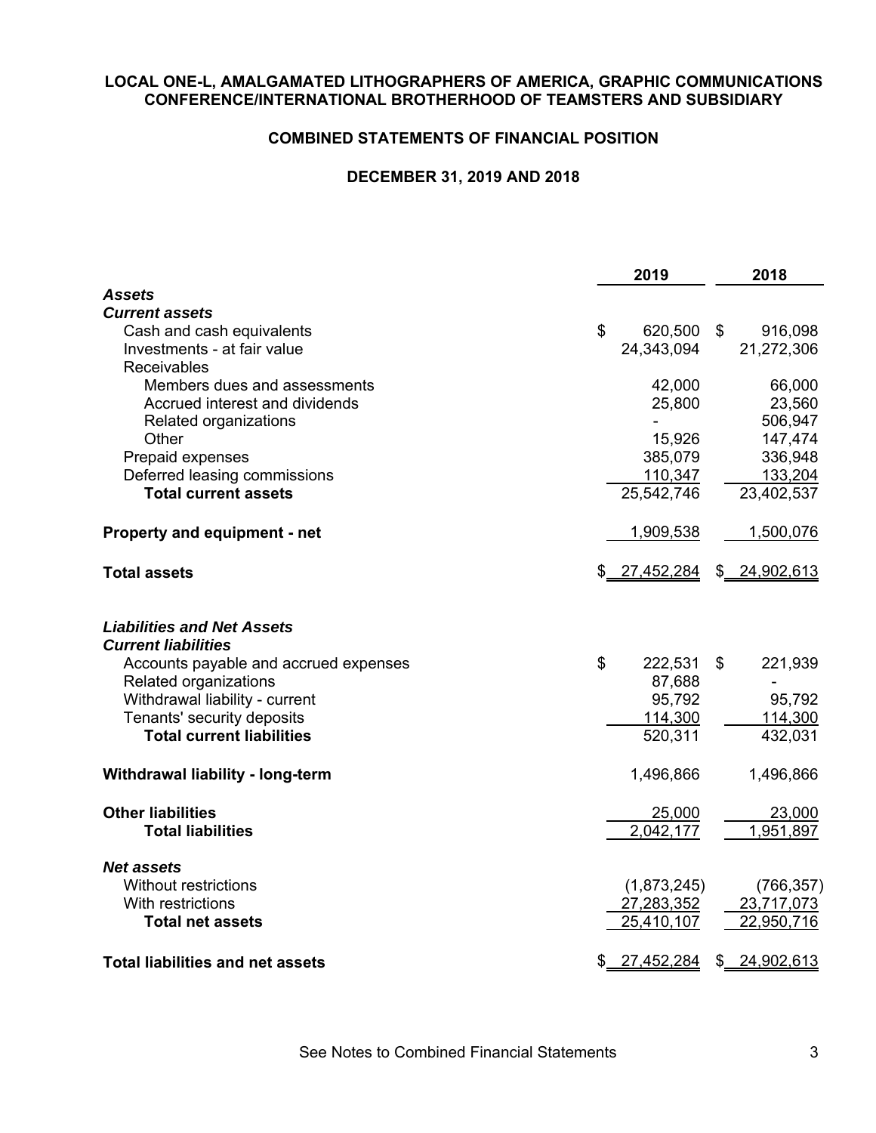## **COMBINED STATEMENTS OF FINANCIAL POSITION**

# **DECEMBER 31, 2019 AND 2018**

|                                                                 | 2019             |               | 2018           |
|-----------------------------------------------------------------|------------------|---------------|----------------|
| <b>Assets</b>                                                   |                  |               |                |
| <b>Current assets</b>                                           |                  |               |                |
| Cash and cash equivalents                                       | \$<br>620,500 \$ |               | 916,098        |
| Investments - at fair value                                     | 24,343,094       |               | 21,272,306     |
| <b>Receivables</b>                                              |                  |               |                |
| Members dues and assessments                                    | 42,000           |               | 66,000         |
| Accrued interest and dividends                                  | 25,800           |               | 23,560         |
| Related organizations                                           |                  |               | 506,947        |
| Other                                                           | 15,926           |               | 147,474        |
| Prepaid expenses                                                | 385,079          |               | 336,948        |
| Deferred leasing commissions                                    | 110,347          |               | 133,204        |
| <b>Total current assets</b>                                     | 25,542,746       |               | 23,402,537     |
| Property and equipment - net                                    | 1,909,538        |               | 1,500,076      |
| <b>Total assets</b>                                             | \$ 27,452,284    |               | \$24,902,613   |
| <b>Liabilities and Net Assets</b><br><b>Current liabilities</b> |                  |               |                |
| Accounts payable and accrued expenses                           | \$<br>222,531    | \$            | 221,939        |
| Related organizations                                           | 87,688           |               | $\blacksquare$ |
| Withdrawal liability - current                                  | 95,792           |               | 95,792         |
| Tenants' security deposits                                      | 114,300          |               | 114,300        |
| <b>Total current liabilities</b>                                | 520,311          |               | 432,031        |
| Withdrawal liability - long-term                                | 1,496,866        |               | 1,496,866      |
| <b>Other liabilities</b>                                        | 25,000           |               | 23,000         |
| <b>Total liabilities</b>                                        | 2,042,177        |               | 1,951,897      |
| <b>Net assets</b>                                               |                  |               |                |
| <b>Without restrictions</b>                                     | (1,873,245)      |               | (766, 357)     |
| With restrictions                                               | 27,283,352       |               | 23,717,073     |
| <b>Total net assets</b>                                         | 25,410,107       |               | 22,950,716     |
| <b>Total liabilities and net assets</b>                         | \$<br>27,452,284 | $\frac{1}{2}$ | 24,902,613     |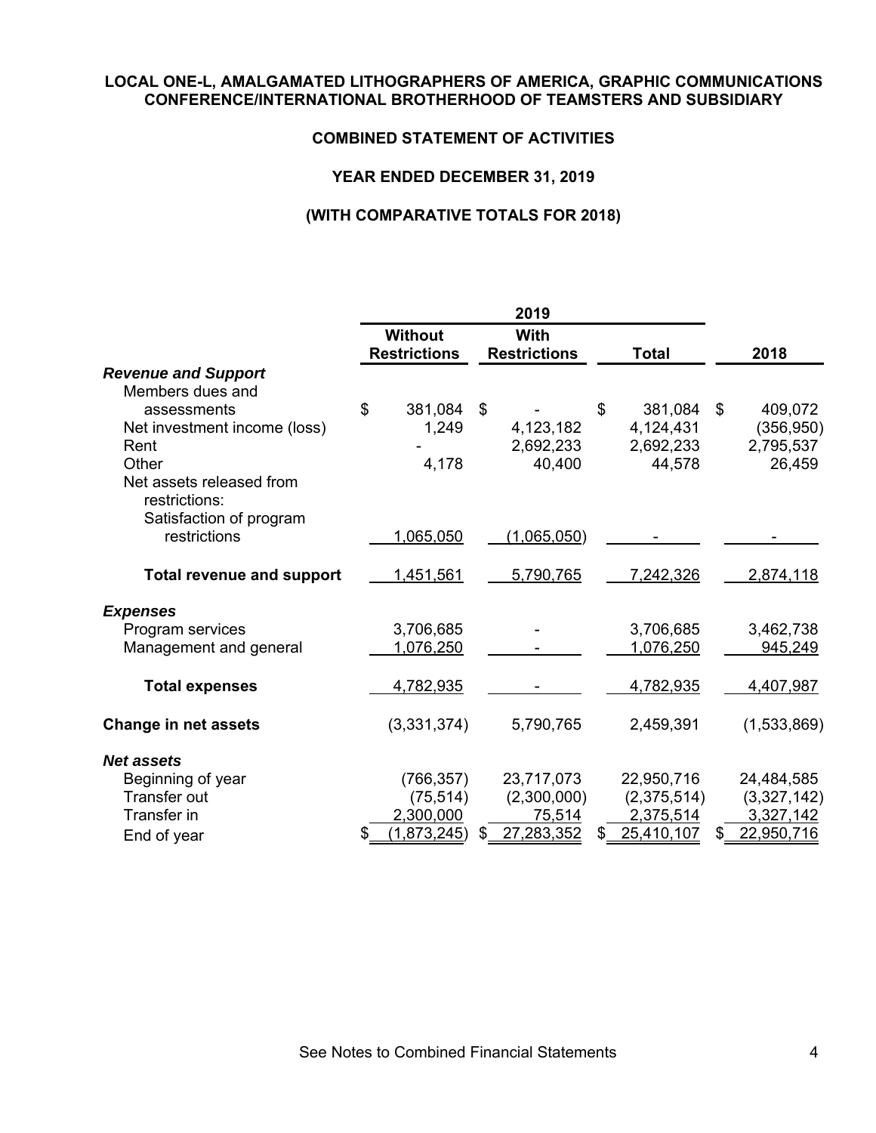## **COMBINED STATEMENT OF ACTIVITIES**

## **YEAR ENDED DECEMBER 31, 2019**

|                                           | 2019 |                                       |    |                                    |               |    |             |
|-------------------------------------------|------|---------------------------------------|----|------------------------------------|---------------|----|-------------|
|                                           |      | <b>Without</b><br><b>Restrictions</b> |    | <b>With</b><br><b>Restrictions</b> | <b>Total</b>  |    | 2018        |
| <b>Revenue and Support</b>                |      |                                       |    |                                    |               |    |             |
| Members dues and                          |      |                                       |    |                                    |               |    |             |
| assessments                               | \$   | 381,084                               | \$ |                                    | \$<br>381,084 | \$ | 409,072     |
| Net investment income (loss)              |      | 1,249                                 |    | 4,123,182                          | 4,124,431     |    | (356, 950)  |
| Rent                                      |      |                                       |    | 2,692,233                          | 2,692,233     |    | 2,795,537   |
| Other                                     |      | 4,178                                 |    | 40,400                             | 44,578        |    | 26,459      |
| Net assets released from<br>restrictions: |      |                                       |    |                                    |               |    |             |
| Satisfaction of program<br>restrictions   |      |                                       |    |                                    |               |    |             |
|                                           |      | 1,065,050                             |    | (1,065,050)                        |               |    |             |
| <b>Total revenue and support</b>          |      | 1,451,561                             |    | 5,790,765                          | 7,242,326     |    | 2,874,118   |
| <b>Expenses</b>                           |      |                                       |    |                                    |               |    |             |
| Program services                          |      | 3,706,685                             |    |                                    | 3,706,685     |    | 3,462,738   |
| Management and general                    |      | 1,076,250                             |    |                                    | 1,076,250     |    | 945,249     |
|                                           |      |                                       |    |                                    |               |    |             |
| <b>Total expenses</b>                     |      | 4,782,935                             |    |                                    | 4,782,935     |    | 4,407,987   |
| <b>Change in net assets</b>               |      | (3,331,374)                           |    | 5,790,765                          | 2,459,391     |    | (1,533,869) |
| <b>Net assets</b>                         |      |                                       |    |                                    |               |    |             |
| Beginning of year                         |      | (766, 357)                            |    | 23,717,073                         | 22,950,716    |    | 24,484,585  |
| <b>Transfer out</b>                       |      | (75, 514)                             |    | (2,300,000)                        | (2,375,514)   |    | (3,327,142) |
| Transfer in                               |      | 2,300,000                             |    | 75,514                             | 2,375,514     |    | 3,327,142   |
| End of year                               |      | (1,873,245)                           |    | 27,283,352                         | 25,410,107    | S  | 22,950,716  |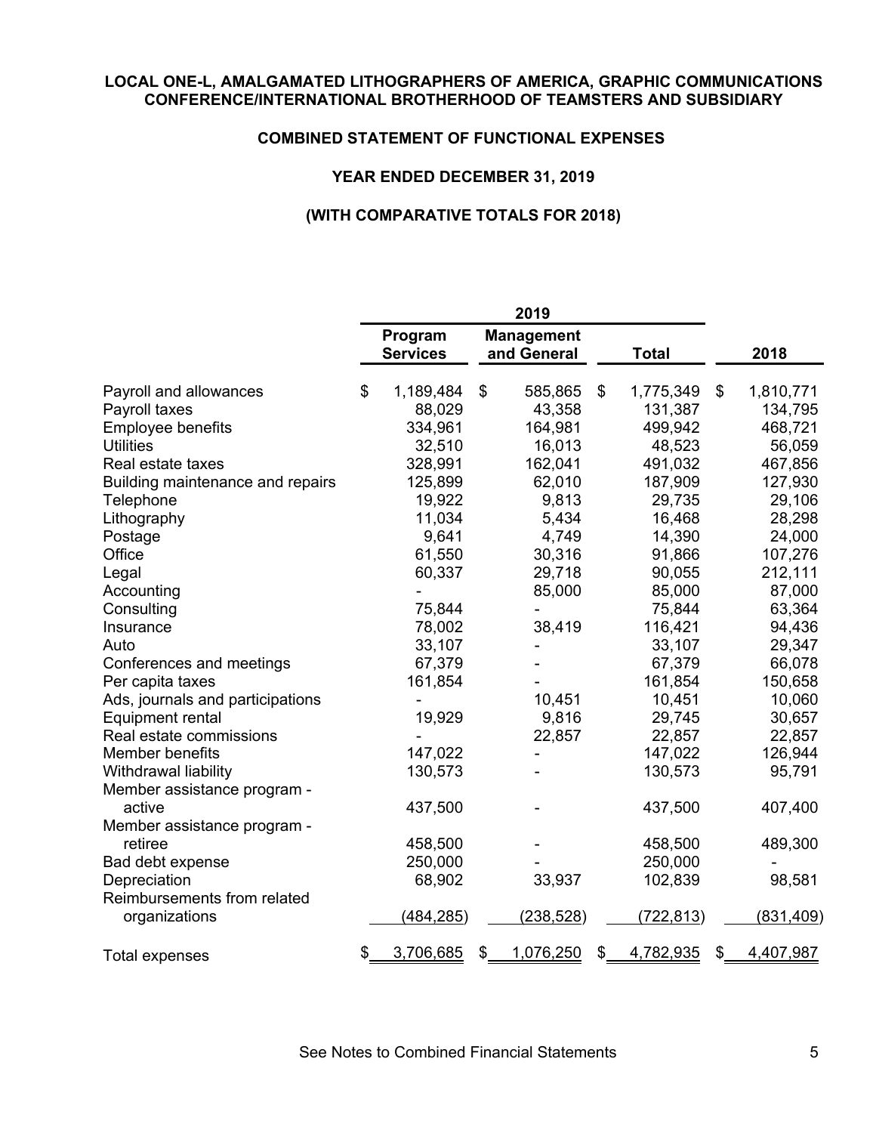## **COMBINED STATEMENT OF FUNCTIONAL EXPENSES**

## **YEAR ENDED DECEMBER 31, 2019**

|                                  | 2019 |                            |    |                                  |                 |                 |
|----------------------------------|------|----------------------------|----|----------------------------------|-----------------|-----------------|
|                                  |      | Program<br><b>Services</b> |    | <b>Management</b><br>and General | <b>Total</b>    | 2018            |
| Payroll and allowances           | \$   | 1,189,484                  | \$ | 585,865                          | \$<br>1,775,349 | \$<br>1,810,771 |
| Payroll taxes                    |      | 88,029                     |    | 43,358                           | 131,387         | 134,795         |
| Employee benefits                |      | 334,961                    |    | 164,981                          | 499,942         | 468,721         |
| <b>Utilities</b>                 |      | 32,510                     |    | 16,013                           | 48,523          | 56,059          |
| Real estate taxes                |      | 328,991                    |    | 162,041                          | 491,032         | 467,856         |
| Building maintenance and repairs |      | 125,899                    |    | 62,010                           | 187,909         | 127,930         |
| Telephone                        |      | 19,922                     |    | 9,813                            | 29,735          | 29,106          |
| Lithography                      |      | 11,034                     |    | 5,434                            | 16,468          | 28,298          |
| Postage                          |      | 9,641                      |    | 4,749                            | 14,390          | 24,000          |
| Office                           |      | 61,550                     |    | 30,316                           | 91,866          | 107,276         |
| Legal                            |      | 60,337                     |    | 29,718                           | 90,055          | 212,111         |
| Accounting                       |      |                            |    | 85,000                           | 85,000          | 87,000          |
| Consulting                       |      | 75,844                     |    | $\blacksquare$                   | 75,844          | 63,364          |
| Insurance                        |      | 78,002                     |    | 38,419                           | 116,421         | 94,436          |
| Auto                             |      | 33,107                     |    |                                  | 33,107          | 29,347          |
| Conferences and meetings         |      | 67,379                     |    |                                  | 67,379          | 66,078          |
| Per capita taxes                 |      | 161,854                    |    |                                  | 161,854         | 150,658         |
| Ads, journals and participations |      |                            |    | 10,451                           | 10,451          | 10,060          |
| <b>Equipment rental</b>          |      | 19,929                     |    | 9,816                            | 29,745          | 30,657          |
| Real estate commissions          |      |                            |    | 22,857                           | 22,857          | 22,857          |
| Member benefits                  |      | 147,022                    |    |                                  | 147,022         | 126,944         |
| Withdrawal liability             |      | 130,573                    |    |                                  | 130,573         | 95,791          |
| Member assistance program -      |      |                            |    |                                  |                 |                 |
| active                           |      | 437,500                    |    |                                  | 437,500         | 407,400         |
| Member assistance program -      |      |                            |    |                                  |                 |                 |
| retiree                          |      | 458,500                    |    |                                  | 458,500         | 489,300         |
| Bad debt expense                 |      | 250,000                    |    |                                  | 250,000         |                 |
| Depreciation                     |      | 68,902                     |    | 33,937                           | 102,839         | 98,581          |
| Reimbursements from related      |      |                            |    |                                  |                 |                 |
| organizations                    |      | (484, 285)                 |    | <u>(238,528)</u>                 | (722, 813)      | (831, 409)      |
| <b>Total expenses</b>            | \$   | 3,706,685                  | \$ | 1,076,250                        | \$<br>4,782,935 | \$<br>4,407,987 |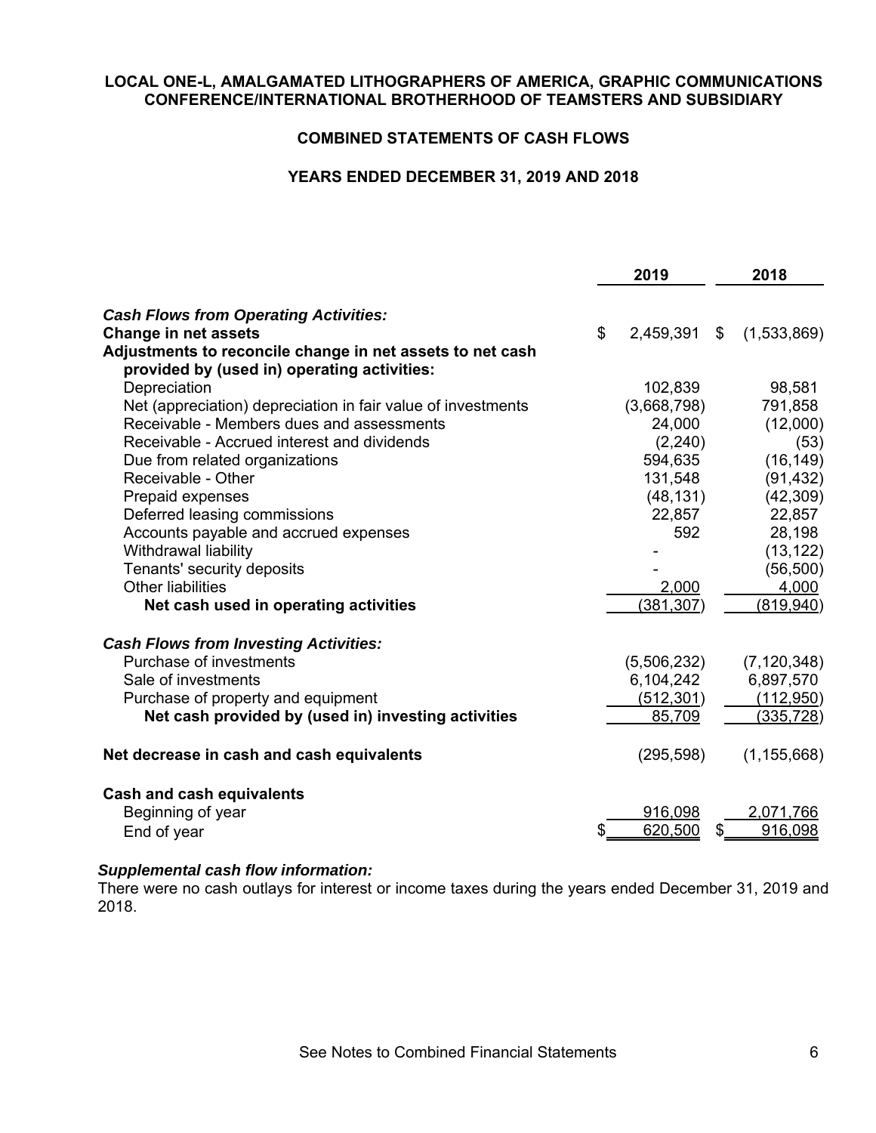## **COMBINED STATEMENTS OF CASH FLOWS**

## **YEARS ENDED DECEMBER 31, 2019 AND 2018**

|                                                                      | 2019               | 2018                 |
|----------------------------------------------------------------------|--------------------|----------------------|
| <b>Cash Flows from Operating Activities:</b>                         |                    |                      |
| <b>Change in net assets</b>                                          | \$<br>2,459,391 \$ | (1,533,869)          |
| Adjustments to reconcile change in net assets to net cash            |                    |                      |
| provided by (used in) operating activities:                          |                    |                      |
| Depreciation                                                         | 102,839            | 98,581               |
| Net (appreciation) depreciation in fair value of investments         | (3,668,798)        | 791,858              |
| Receivable - Members dues and assessments                            | 24,000             | (12,000)             |
| Receivable - Accrued interest and dividends                          | (2, 240)           | (53)                 |
| Due from related organizations                                       | 594,635            | (16, 149)            |
| Receivable - Other                                                   | 131,548            | (91, 432)            |
| Prepaid expenses                                                     | (48, 131)          | (42, 309)            |
| Deferred leasing commissions                                         | 22,857             | 22,857               |
| Accounts payable and accrued expenses                                | 592                | 28,198               |
| Withdrawal liability                                                 |                    | (13, 122)            |
| Tenants' security deposits                                           |                    | (56, 500)            |
| <b>Other liabilities</b>                                             | 2,000              | 4,000                |
| Net cash used in operating activities                                | (381, 307)         | (819, 940)           |
| <b>Cash Flows from Investing Activities:</b>                         |                    |                      |
| Purchase of investments                                              | (5,506,232)        | (7, 120, 348)        |
| Sale of investments                                                  | 6,104,242          | 6,897,570            |
| Purchase of property and equipment                                   | (512, 301)         | (112,950)            |
| Net cash provided by (used in) investing activities                  | 85,709             | (335, 728)           |
| Net decrease in cash and cash equivalents                            | (295, 598)         | (1, 155, 668)        |
| <b>Cash and cash equivalents</b><br>Beginning of year<br>End of year | 916,098<br>620,500 | 2,071,766<br>916,098 |
|                                                                      |                    |                      |

## *Supplemental cash flow information:*

There were no cash outlays for interest or income taxes during the years ended December 31, 2019 and 2018.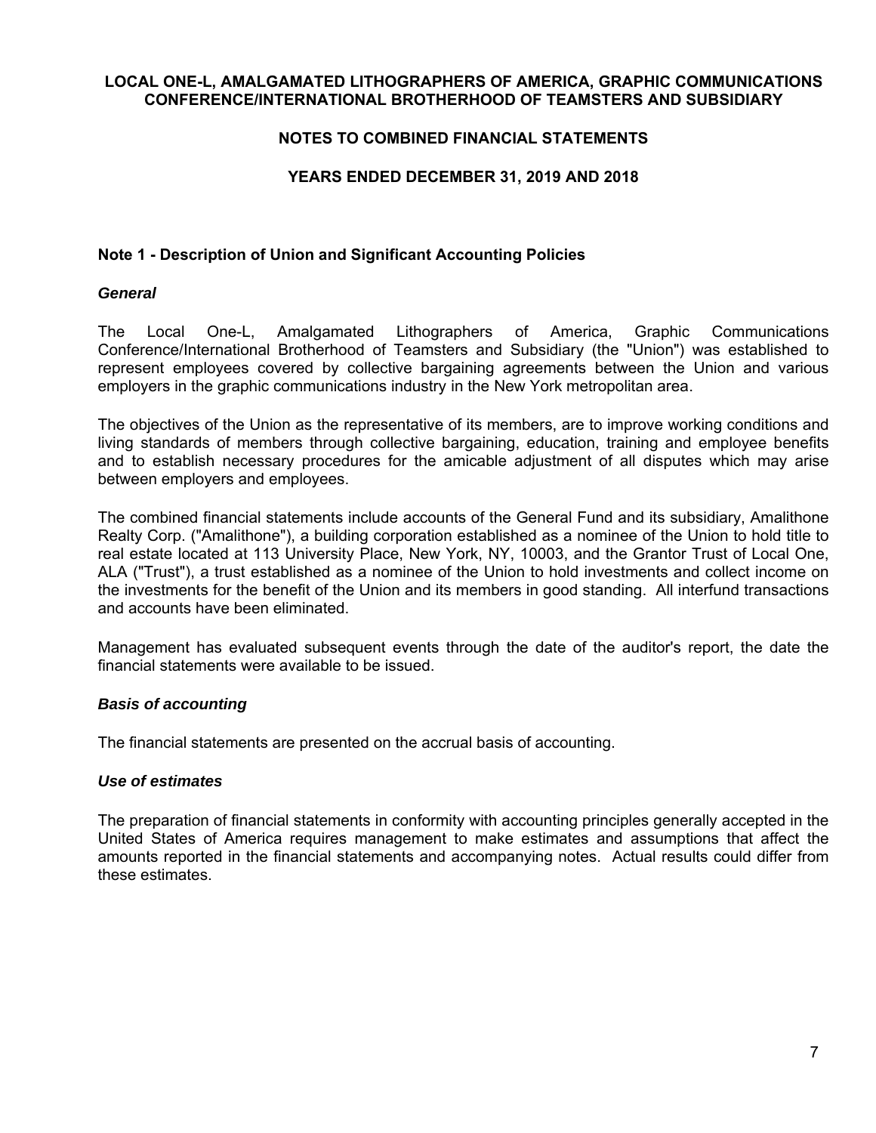## **NOTES TO COMBINED FINANCIAL STATEMENTS**

## **YEARS ENDED DECEMBER 31, 2019 AND 2018**

## **Note 1 - Description of Union and Significant Accounting Policies**

#### *General*

The Local One-L, Amalgamated Lithographers of America, Graphic Communications Conference/International Brotherhood of Teamsters and Subsidiary (the "Union") was established to represent employees covered by collective bargaining agreements between the Union and various employers in the graphic communications industry in the New York metropolitan area.

The objectives of the Union as the representative of its members, are to improve working conditions and living standards of members through collective bargaining, education, training and employee benefits and to establish necessary procedures for the amicable adjustment of all disputes which may arise between employers and employees.

The combined financial statements include accounts of the General Fund and its subsidiary, Amalithone Realty Corp. ("Amalithone"), a building corporation established as a nominee of the Union to hold title to real estate located at 113 University Place, New York, NY, 10003, and the Grantor Trust of Local One, ALA ("Trust"), a trust established as a nominee of the Union to hold investments and collect income on the investments for the benefit of the Union and its members in good standing. All interfund transactions and accounts have been eliminated.

Management has evaluated subsequent events through the date of the auditor's report, the date the financial statements were available to be issued.

#### *Basis of accounting*

The financial statements are presented on the accrual basis of accounting.

## *Use of estimates*

The preparation of financial statements in conformity with accounting principles generally accepted in the United States of America requires management to make estimates and assumptions that affect the amounts reported in the financial statements and accompanying notes. Actual results could differ from these estimates.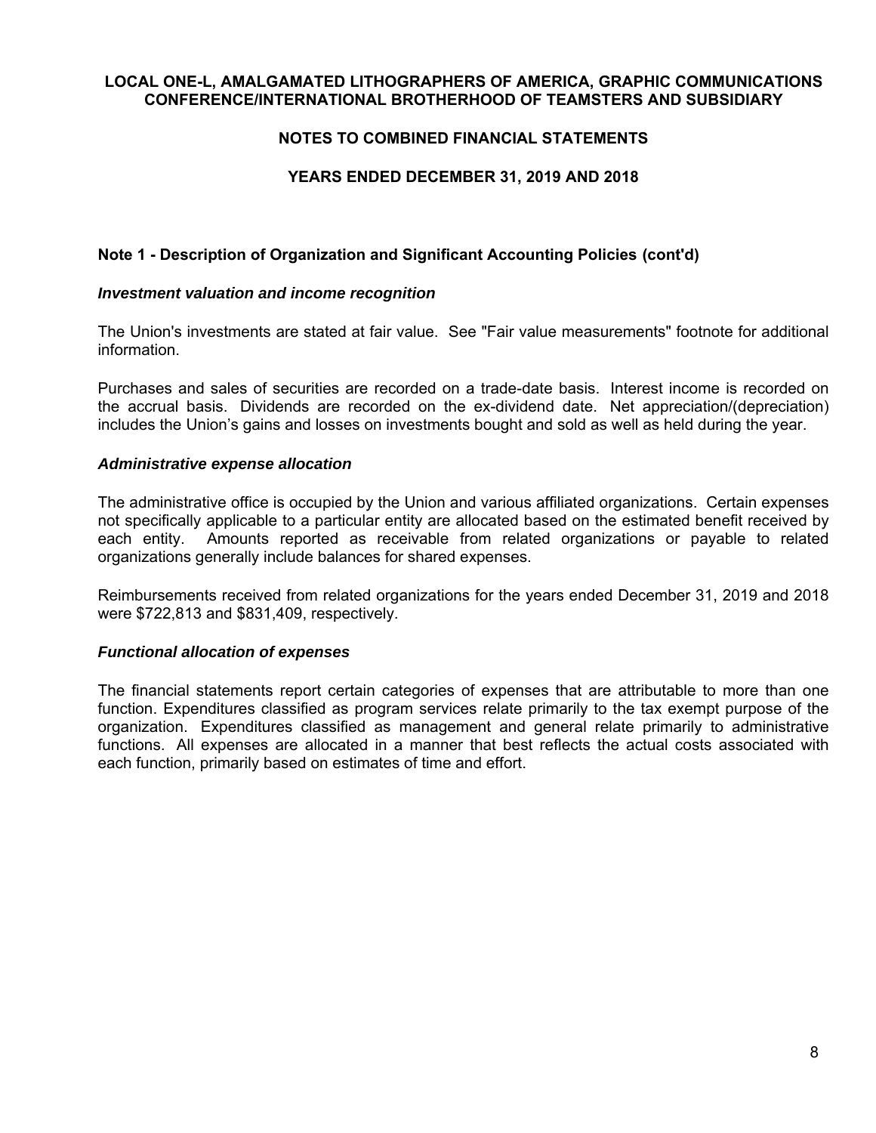## **NOTES TO COMBINED FINANCIAL STATEMENTS**

## **YEARS ENDED DECEMBER 31, 2019 AND 2018**

## **Note 1 - Description of Organization and Significant Accounting Policies (cont'd)**

#### *Investment valuation and income recognition*

The Union's investments are stated at fair value. See "Fair value measurements" footnote for additional information.

Purchases and sales of securities are recorded on a trade-date basis. Interest income is recorded on the accrual basis. Dividends are recorded on the ex-dividend date. Net appreciation/(depreciation) includes the Union's gains and losses on investments bought and sold as well as held during the year.

#### *Administrative expense allocation*

The administrative office is occupied by the Union and various affiliated organizations. Certain expenses not specifically applicable to a particular entity are allocated based on the estimated benefit received by each entity. Amounts reported as receivable from related organizations or payable to related organizations generally include balances for shared expenses.

Reimbursements received from related organizations for the years ended December 31, 2019 and 2018 were \$722,813 and \$831,409, respectively.

#### *Functional allocation of expenses*

The financial statements report certain categories of expenses that are attributable to more than one function. Expenditures classified as program services relate primarily to the tax exempt purpose of the organization. Expenditures classified as management and general relate primarily to administrative functions. All expenses are allocated in a manner that best reflects the actual costs associated with each function, primarily based on estimates of time and effort.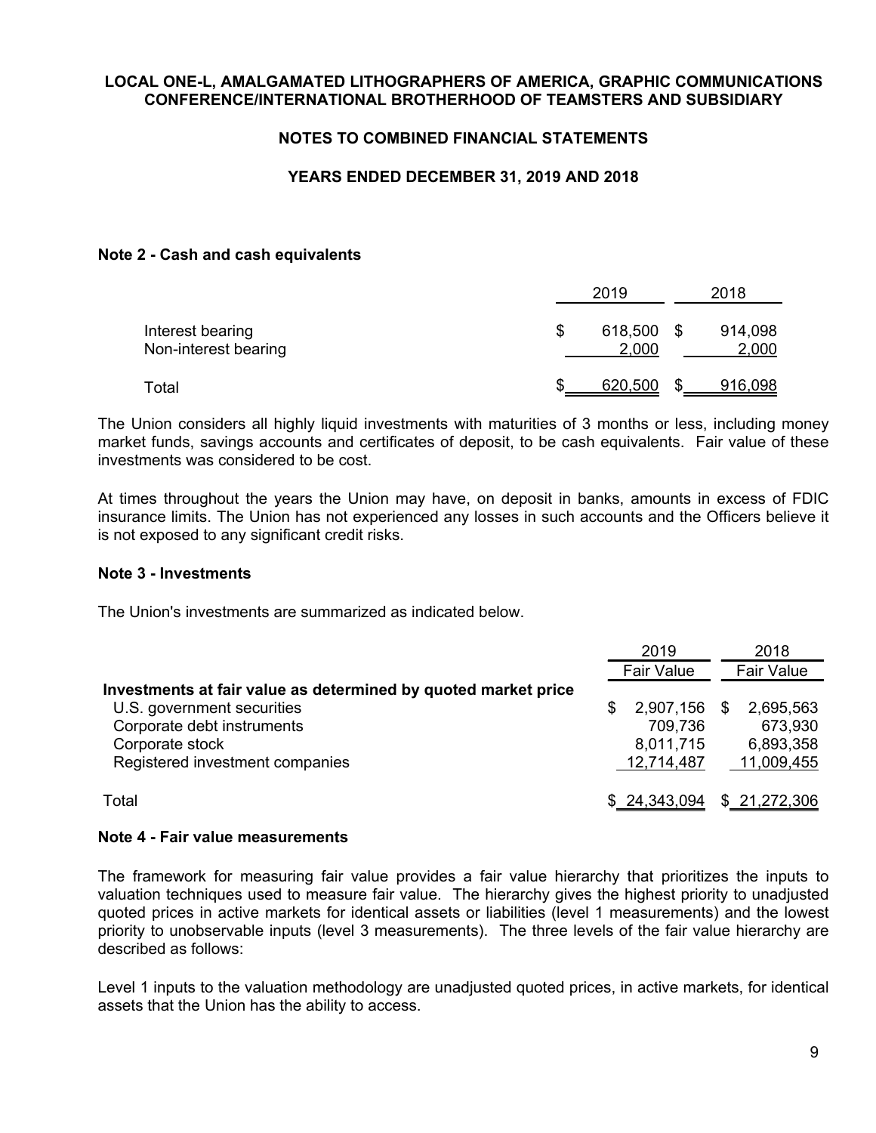## **NOTES TO COMBINED FINANCIAL STATEMENTS**

## **YEARS ENDED DECEMBER 31, 2019 AND 2018**

#### **Note 2 - Cash and cash equivalents**

|                                          |    | 2019             |      | 2018             |
|------------------------------------------|----|------------------|------|------------------|
| Interest bearing<br>Non-interest bearing | ß. | 618,500<br>2,000 | - \$ | 914,098<br>2,000 |
| Total                                    | £. | 620,500          |      | 916,098          |

The Union considers all highly liquid investments with maturities of 3 months or less, including money market funds, savings accounts and certificates of deposit, to be cash equivalents. Fair value of these investments was considered to be cost.

At times throughout the years the Union may have, on deposit in banks, amounts in excess of FDIC insurance limits. The Union has not experienced any losses in such accounts and the Officers believe it is not exposed to any significant credit risks.

#### **Note 3 - Investments**

The Union's investments are summarized as indicated below.

|                                                                |   | 2019              |   | 2018              |
|----------------------------------------------------------------|---|-------------------|---|-------------------|
|                                                                |   | <b>Fair Value</b> |   | <b>Fair Value</b> |
| Investments at fair value as determined by quoted market price |   |                   |   |                   |
| U.S. government securities                                     | S | 2,907,156         | S | 2,695,563         |
| Corporate debt instruments                                     |   | 709,736           |   | 673,930           |
| Corporate stock                                                |   | 8,011,715         |   | 6,893,358         |
| Registered investment companies                                |   | 12,714,487        |   | 11,009,455        |
| Total                                                          |   | \$24,343,094      |   | \$21,272,306      |

#### **Note 4 - Fair value measurements**

The framework for measuring fair value provides a fair value hierarchy that prioritizes the inputs to valuation techniques used to measure fair value. The hierarchy gives the highest priority to unadjusted quoted prices in active markets for identical assets or liabilities (level 1 measurements) and the lowest priority to unobservable inputs (level 3 measurements). The three levels of the fair value hierarchy are described as follows:

Level 1 inputs to the valuation methodology are unadjusted quoted prices, in active markets, for identical assets that the Union has the ability to access.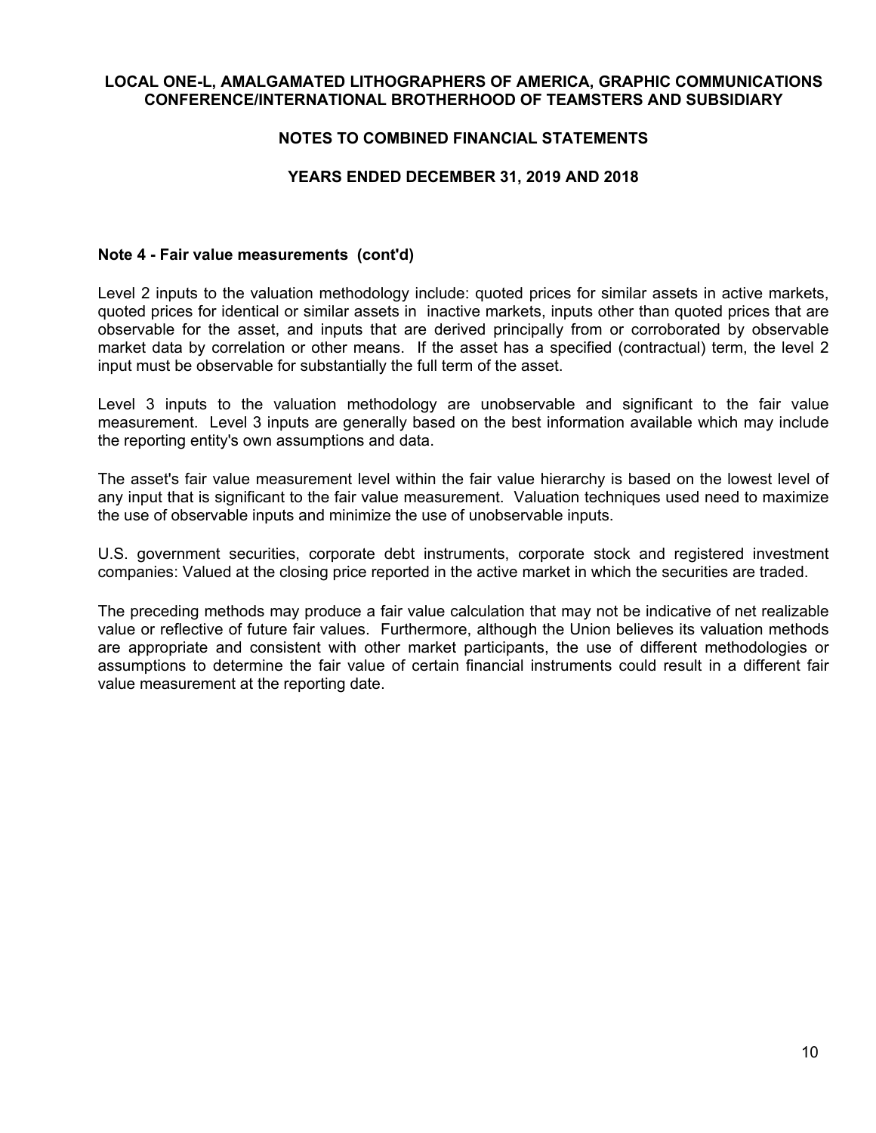## **NOTES TO COMBINED FINANCIAL STATEMENTS**

## **YEARS ENDED DECEMBER 31, 2019 AND 2018**

#### **Note 4 - Fair value measurements (cont'd)**

Level 2 inputs to the valuation methodology include: quoted prices for similar assets in active markets, quoted prices for identical or similar assets in inactive markets, inputs other than quoted prices that are observable for the asset, and inputs that are derived principally from or corroborated by observable market data by correlation or other means. If the asset has a specified (contractual) term, the level 2 input must be observable for substantially the full term of the asset.

Level 3 inputs to the valuation methodology are unobservable and significant to the fair value measurement. Level 3 inputs are generally based on the best information available which may include the reporting entity's own assumptions and data.

The asset's fair value measurement level within the fair value hierarchy is based on the lowest level of any input that is significant to the fair value measurement. Valuation techniques used need to maximize the use of observable inputs and minimize the use of unobservable inputs.

U.S. government securities, corporate debt instruments, corporate stock and registered investment companies: Valued at the closing price reported in the active market in which the securities are traded.

The preceding methods may produce a fair value calculation that may not be indicative of net realizable value or reflective of future fair values. Furthermore, although the Union believes its valuation methods are appropriate and consistent with other market participants, the use of different methodologies or assumptions to determine the fair value of certain financial instruments could result in a different fair value measurement at the reporting date.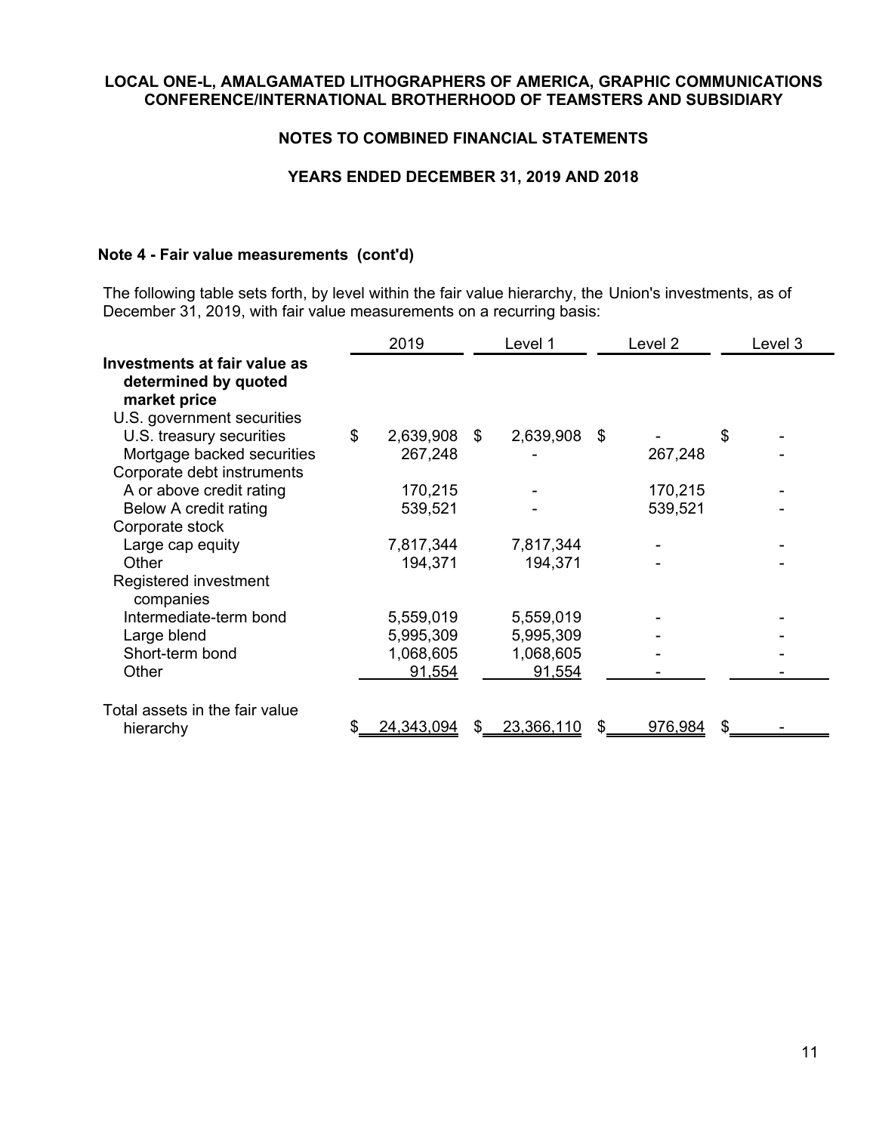## **NOTES TO COMBINED FINANCIAL STATEMENTS**

## **YEARS ENDED DECEMBER 31, 2019 AND 2018**

## **Note 4 - Fair value measurements (cont'd)**

The following table sets forth, by level within the fair value hierarchy, the Union's investments, as of December 31, 2019, with fair value measurements on a recurring basis:

|                                                                                                           | 2019            |     | Level 1      | Level 2 | Level 3 |
|-----------------------------------------------------------------------------------------------------------|-----------------|-----|--------------|---------|---------|
| <b>Investments at fair value as</b><br>determined by quoted<br>market price<br>U.S. government securities |                 |     |              |         |         |
| U.S. treasury securities                                                                                  | \$<br>2,639,908 | \$  | 2,639,908 \$ |         | \$      |
| Mortgage backed securities                                                                                | 267,248         |     |              | 267,248 |         |
| Corporate debt instruments                                                                                |                 |     |              |         |         |
| A or above credit rating                                                                                  | 170,215         |     |              | 170,215 |         |
| Below A credit rating                                                                                     | 539,521         |     |              | 539,521 |         |
| Corporate stock                                                                                           |                 |     |              |         |         |
| Large cap equity                                                                                          | 7,817,344       |     | 7,817,344    |         |         |
| Other                                                                                                     | 194,371         |     | 194,371      |         |         |
| Registered investment<br>companies                                                                        |                 |     |              |         |         |
| Intermediate-term bond                                                                                    | 5,559,019       |     | 5,559,019    |         |         |
| Large blend                                                                                               | 5,995,309       |     | 5,995,309    |         |         |
| Short-term bond                                                                                           | 1,068,605       |     | 1,068,605    |         |         |
| Other                                                                                                     | 91,554          |     | 91,554       |         |         |
| Total assets in the fair value<br>hierarchy                                                               | 24,343,094      | \$. | 23,366,110   | 976,984 | \$      |
|                                                                                                           |                 |     |              |         |         |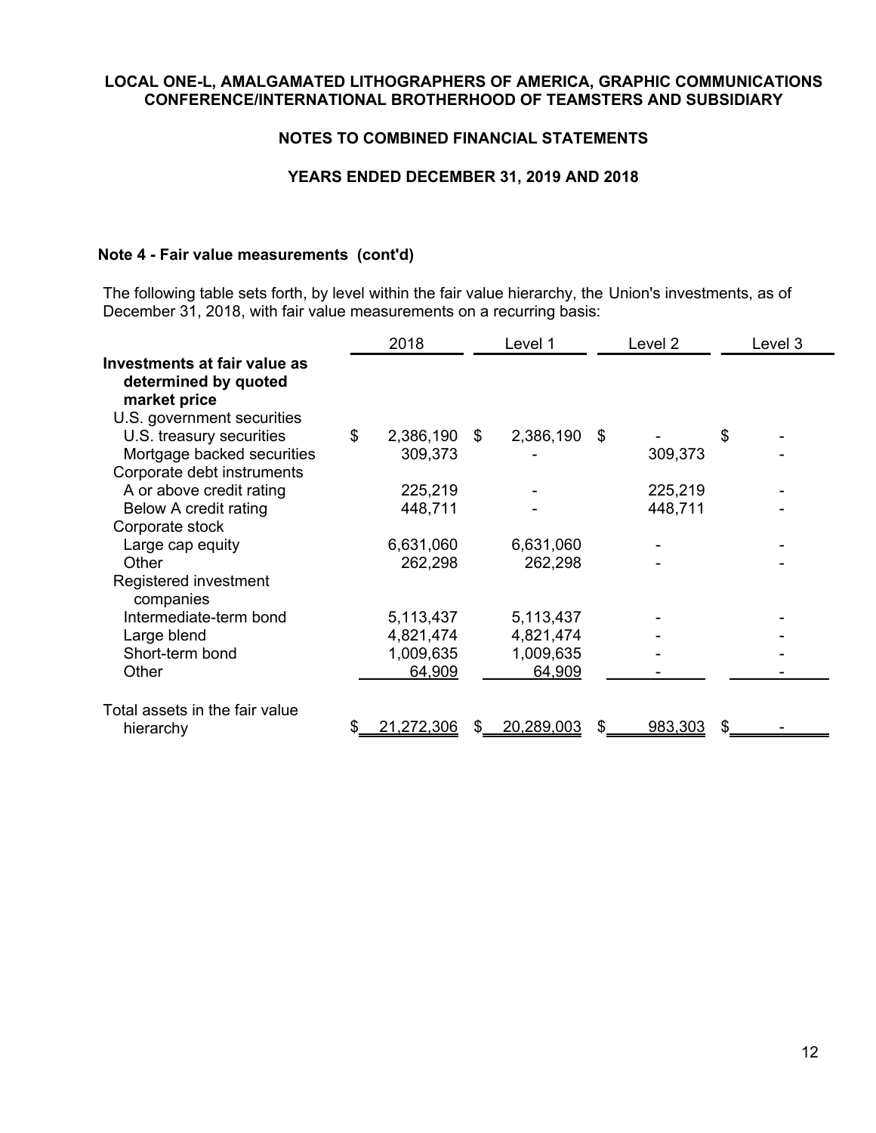## **NOTES TO COMBINED FINANCIAL STATEMENTS**

## **YEARS ENDED DECEMBER 31, 2019 AND 2018**

## **Note 4 - Fair value measurements (cont'd)**

The following table sets forth, by level within the fair value hierarchy, the Union's investments, as of December 31, 2018, with fair value measurements on a recurring basis:

|                                                                                                           | 2018            |     | Level 1      | Level 2 | Level 3 |
|-----------------------------------------------------------------------------------------------------------|-----------------|-----|--------------|---------|---------|
| <b>Investments at fair value as</b><br>determined by quoted<br>market price<br>U.S. government securities |                 |     |              |         |         |
| U.S. treasury securities                                                                                  | \$<br>2,386,190 | \$  | 2,386,190 \$ |         | \$      |
| Mortgage backed securities                                                                                | 309,373         |     |              | 309,373 |         |
| Corporate debt instruments                                                                                |                 |     |              |         |         |
| A or above credit rating                                                                                  | 225,219         |     |              | 225,219 |         |
| Below A credit rating                                                                                     | 448,711         |     |              | 448,711 |         |
| Corporate stock                                                                                           |                 |     |              |         |         |
| Large cap equity                                                                                          | 6,631,060       |     | 6,631,060    |         |         |
| Other                                                                                                     | 262,298         |     | 262,298      |         |         |
| Registered investment<br>companies                                                                        |                 |     |              |         |         |
| Intermediate-term bond                                                                                    | 5,113,437       |     | 5,113,437    |         |         |
| Large blend                                                                                               | 4,821,474       |     | 4,821,474    |         |         |
| Short-term bond                                                                                           | 1,009,635       |     | 1,009,635    |         |         |
| Other                                                                                                     | 64,909          |     | 64,909       |         |         |
| Total assets in the fair value<br>hierarchy                                                               | 21,272,306      | \$. | 20,289,003   | 983,303 | \$      |
|                                                                                                           |                 |     |              |         |         |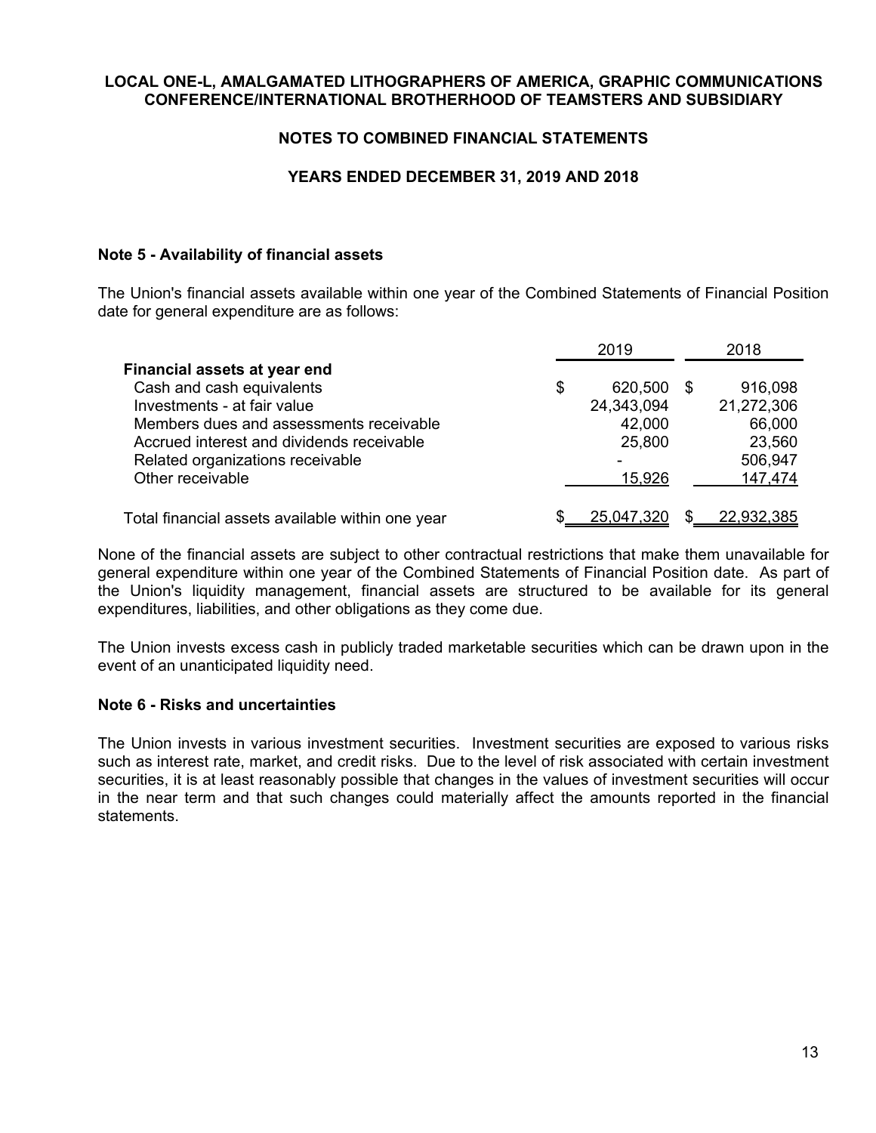## **NOTES TO COMBINED FINANCIAL STATEMENTS**

## **YEARS ENDED DECEMBER 31, 2019 AND 2018**

## **Note 5 - Availability of financial assets**

The Union's financial assets available within one year of the Combined Statements of Financial Position date for general expenditure are as follows:

|                                                  | 2019          |   | 2018       |
|--------------------------------------------------|---------------|---|------------|
| Financial assets at year end                     |               |   |            |
| Cash and cash equivalents                        | \$<br>620,500 | S | 916,098    |
| Investments - at fair value                      | 24,343,094    |   | 21,272,306 |
| Members dues and assessments receivable          | 42,000        |   | 66,000     |
| Accrued interest and dividends receivable        | 25,800        |   | 23,560     |
| Related organizations receivable                 | -             |   | 506,947    |
| Other receivable                                 | 15,926        |   | 147,474    |
| Total financial assets available within one year | 25,047,320    |   | 22,932,385 |

None of the financial assets are subject to other contractual restrictions that make them unavailable for general expenditure within one year of the Combined Statements of Financial Position date. As part of the Union's liquidity management, financial assets are structured to be available for its general expenditures, liabilities, and other obligations as they come due.

The Union invests excess cash in publicly traded marketable securities which can be drawn upon in the event of an unanticipated liquidity need.

## **Note 6 - Risks and uncertainties**

The Union invests in various investment securities. Investment securities are exposed to various risks such as interest rate, market, and credit risks. Due to the level of risk associated with certain investment securities, it is at least reasonably possible that changes in the values of investment securities will occur in the near term and that such changes could materially affect the amounts reported in the financial statements.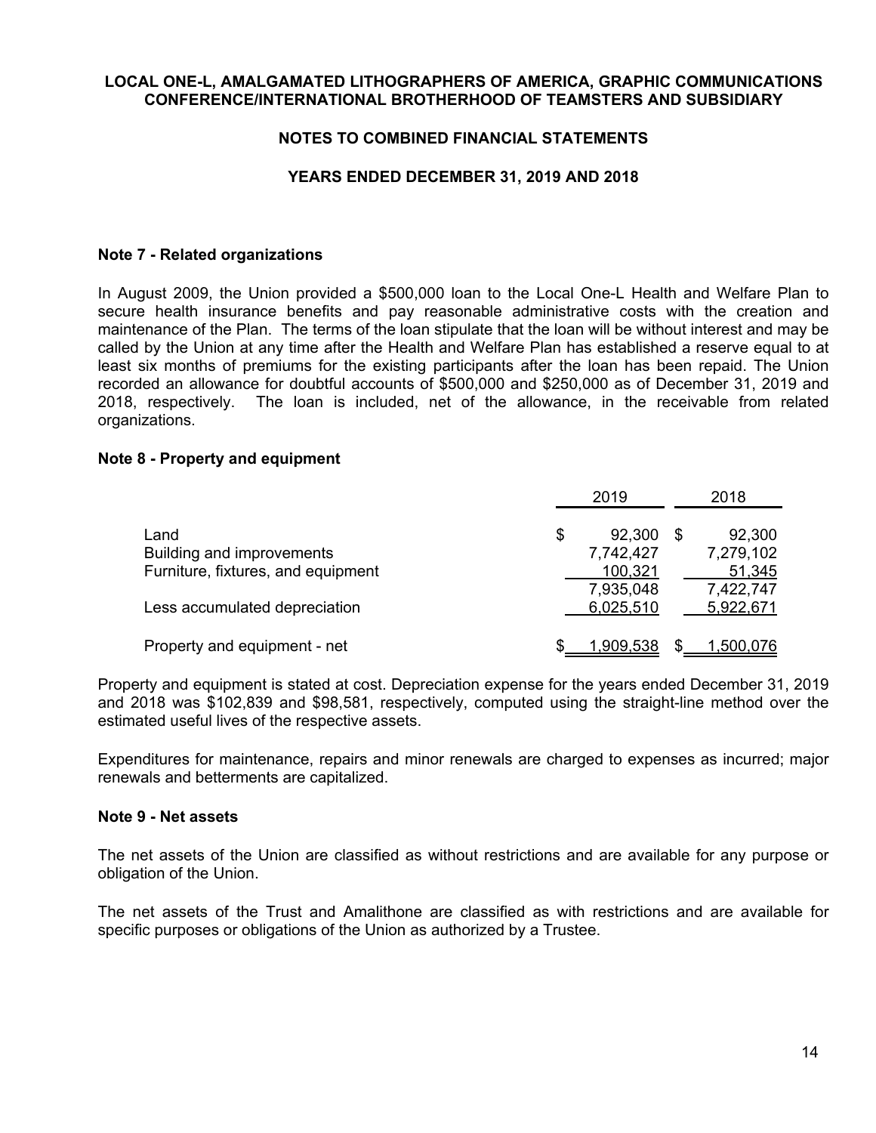## **NOTES TO COMBINED FINANCIAL STATEMENTS**

## **YEARS ENDED DECEMBER 31, 2019 AND 2018**

## **Note 7 - Related organizations**

In August 2009, the Union provided a \$500,000 loan to the Local One-L Health and Welfare Plan to secure health insurance benefits and pay reasonable administrative costs with the creation and maintenance of the Plan. The terms of the loan stipulate that the loan will be without interest and may be called by the Union at any time after the Health and Welfare Plan has established a reserve equal to at least six months of premiums for the existing participants after the loan has been repaid. The Union recorded an allowance for doubtful accounts of \$500,000 and \$250,000 as of December 31, 2019 and 2018, respectively. The loan is included, net of the allowance, in the receivable from related organizations.

#### **Note 8 - Property and equipment**

|                                    | 2019         |      | 2018      |
|------------------------------------|--------------|------|-----------|
| Land                               | \$<br>92,300 | - \$ | 92,300    |
| Building and improvements          | 7,742,427    |      | 7,279,102 |
| Furniture, fixtures, and equipment | 100,321      |      | 51,345    |
|                                    | 7,935,048    |      | 7,422,747 |
| Less accumulated depreciation      | 6,025,510    |      | 5,922,671 |
|                                    |              |      |           |
| Property and equipment - net       | 1,909,538    |      | 1,500,076 |

Property and equipment is stated at cost. Depreciation expense for the years ended December 31, 2019 and 2018 was \$102,839 and \$98,581, respectively, computed using the straight-line method over the estimated useful lives of the respective assets.

Expenditures for maintenance, repairs and minor renewals are charged to expenses as incurred; major renewals and betterments are capitalized.

#### **Note 9 - Net assets**

The net assets of the Union are classified as without restrictions and are available for any purpose or obligation of the Union.

The net assets of the Trust and Amalithone are classified as with restrictions and are available for specific purposes or obligations of the Union as authorized by a Trustee.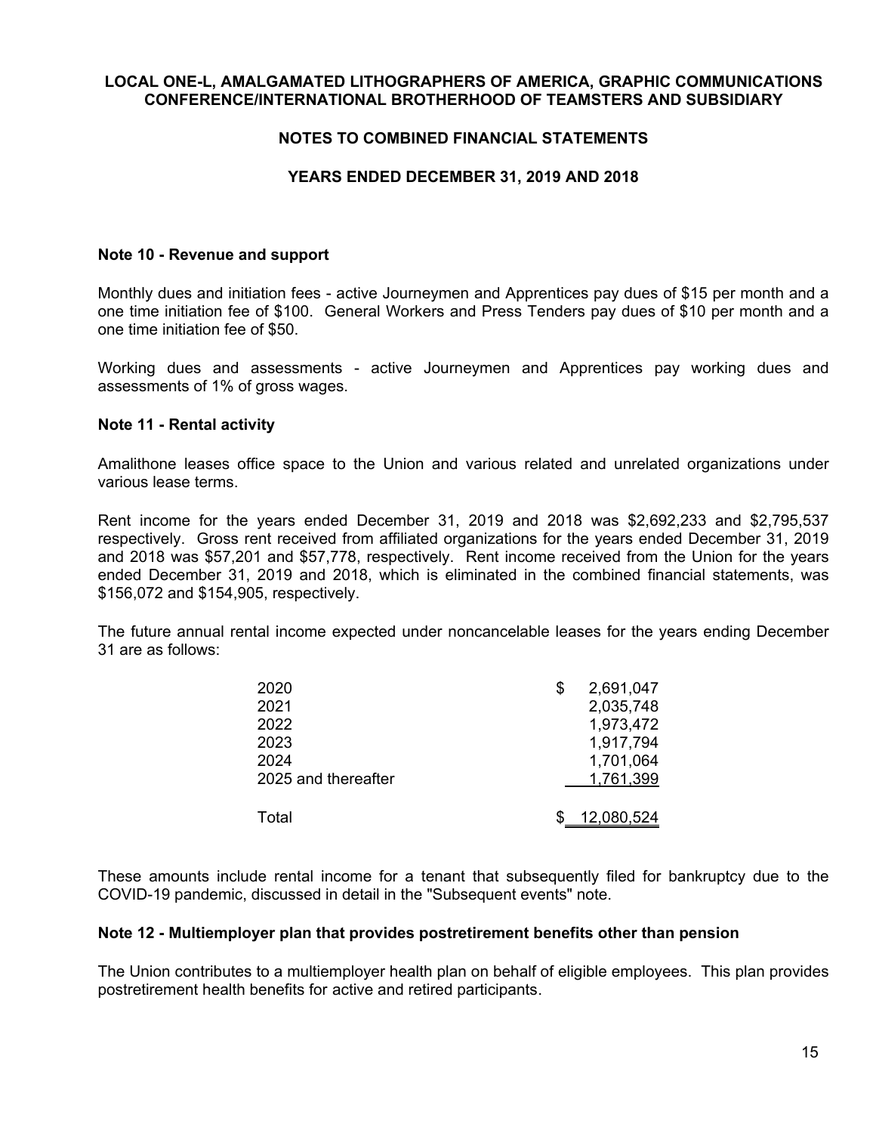## **NOTES TO COMBINED FINANCIAL STATEMENTS**

## **YEARS ENDED DECEMBER 31, 2019 AND 2018**

#### **Note 10 - Revenue and support**

Monthly dues and initiation fees - active Journeymen and Apprentices pay dues of \$15 per month and a one time initiation fee of \$100. General Workers and Press Tenders pay dues of \$10 per month and a one time initiation fee of \$50.

Working dues and assessments - active Journeymen and Apprentices pay working dues and assessments of 1% of gross wages.

#### **Note 11 - Rental activity**

Amalithone leases office space to the Union and various related and unrelated organizations under various lease terms.

Rent income for the years ended December 31, 2019 and 2018 was \$2,692,233 and \$2,795,537 respectively. Gross rent received from affiliated organizations for the years ended December 31, 2019 and 2018 was \$57,201 and \$57,778, respectively. Rent income received from the Union for the years ended December 31, 2019 and 2018, which is eliminated in the combined financial statements, was \$156,072 and \$154,905, respectively.

The future annual rental income expected under noncancelable leases for the years ending December 31 are as follows:

| 2020                | \$<br>2,691,047 |
|---------------------|-----------------|
| 2021                | 2,035,748       |
| 2022                | 1,973,472       |
| 2023                | 1,917,794       |
| 2024                | 1,701,064       |
| 2025 and thereafter | 1,761,399       |
| Total               | 12,080,524      |

These amounts include rental income for a tenant that subsequently filed for bankruptcy due to the COVID-19 pandemic, discussed in detail in the "Subsequent events" note.

#### **Note 12 - Multiemployer plan that provides postretirement benefits other than pension**

The Union contributes to a multiemployer health plan on behalf of eligible employees. This plan provides postretirement health benefits for active and retired participants.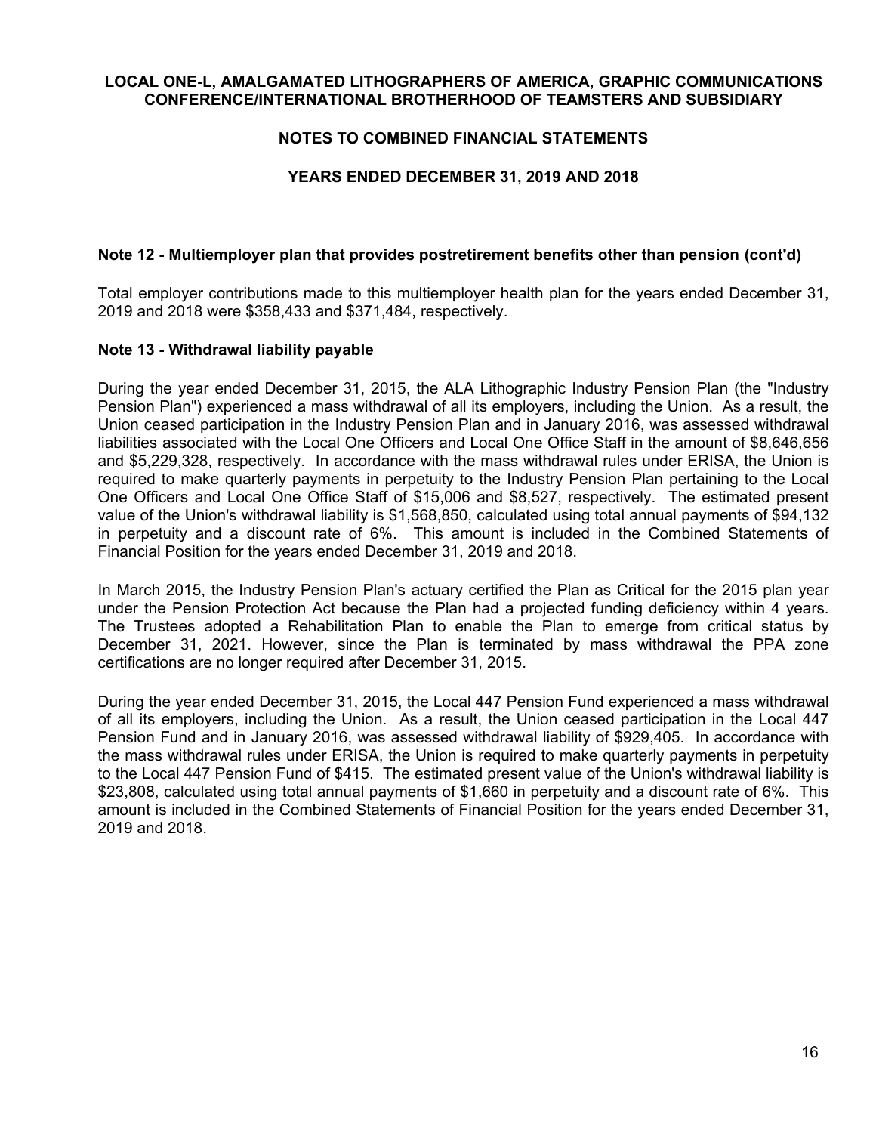## **NOTES TO COMBINED FINANCIAL STATEMENTS**

## **YEARS ENDED DECEMBER 31, 2019 AND 2018**

## **Note 12 - Multiemployer plan that provides postretirement benefits other than pension (cont'd)**

Total employer contributions made to this multiemployer health plan for the years ended December 31, 2019 and 2018 were \$358,433 and \$371,484, respectively.

## **Note 13 - Withdrawal liability payable**

During the year ended December 31, 2015, the ALA Lithographic Industry Pension Plan (the "Industry Pension Plan") experienced a mass withdrawal of all its employers, including the Union. As a result, the Union ceased participation in the Industry Pension Plan and in January 2016, was assessed withdrawal liabilities associated with the Local One Officers and Local One Office Staff in the amount of \$8,646,656 and \$5,229,328, respectively. In accordance with the mass withdrawal rules under ERISA, the Union is required to make quarterly payments in perpetuity to the Industry Pension Plan pertaining to the Local One Officers and Local One Office Staff of \$15,006 and \$8,527, respectively. The estimated present value of the Union's withdrawal liability is \$1,568,850, calculated using total annual payments of \$94,132 in perpetuity and a discount rate of 6%. This amount is included in the Combined Statements of Financial Position for the years ended December 31, 2019 and 2018.

In March 2015, the Industry Pension Plan's actuary certified the Plan as Critical for the 2015 plan year under the Pension Protection Act because the Plan had a projected funding deficiency within 4 years. The Trustees adopted a Rehabilitation Plan to enable the Plan to emerge from critical status by December 31, 2021. However, since the Plan is terminated by mass withdrawal the PPA zone certifications are no longer required after December 31, 2015.

During the year ended December 31, 2015, the Local 447 Pension Fund experienced a mass withdrawal of all its employers, including the Union. As a result, the Union ceased participation in the Local 447 Pension Fund and in January 2016, was assessed withdrawal liability of \$929,405. In accordance with the mass withdrawal rules under ERISA, the Union is required to make quarterly payments in perpetuity to the Local 447 Pension Fund of \$415. The estimated present value of the Union's withdrawal liability is \$23,808, calculated using total annual payments of \$1,660 in perpetuity and a discount rate of 6%. This amount is included in the Combined Statements of Financial Position for the years ended December 31, 2019 and 2018.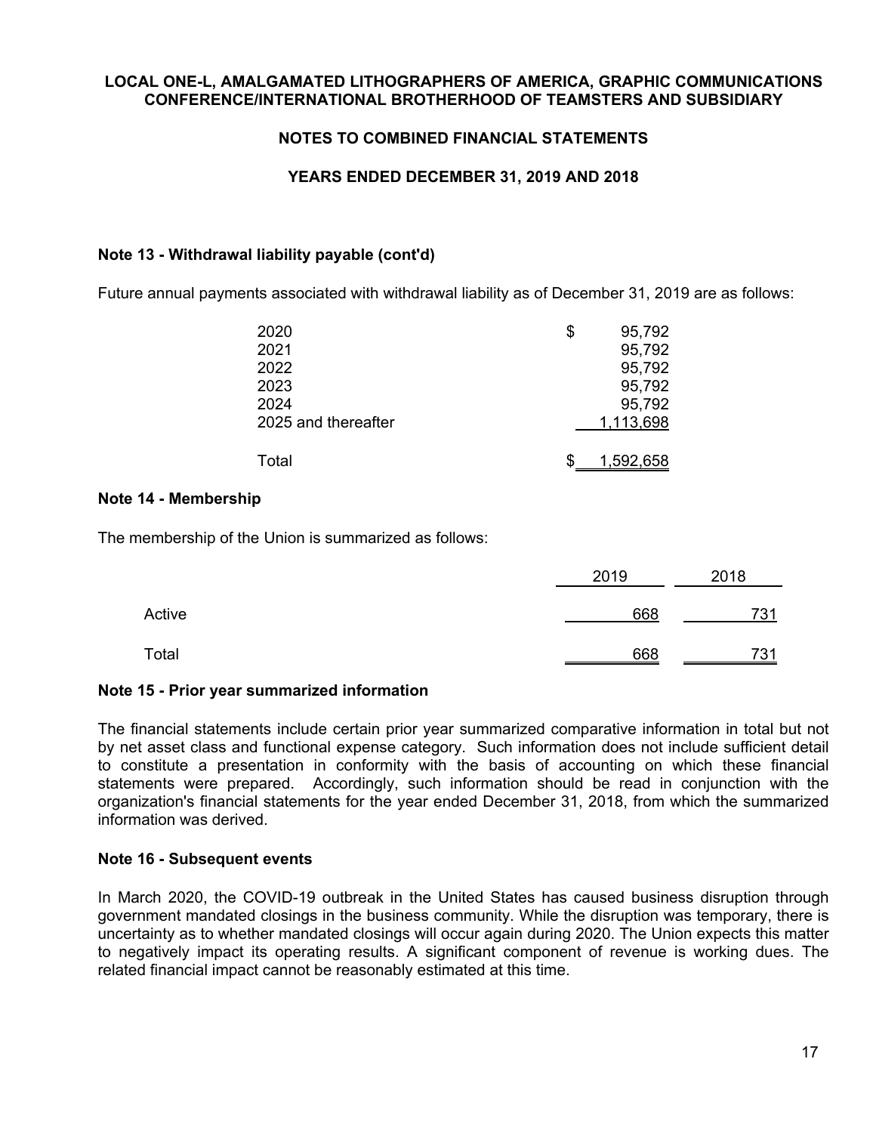## **NOTES TO COMBINED FINANCIAL STATEMENTS**

## **YEARS ENDED DECEMBER 31, 2019 AND 2018**

## **Note 13 - Withdrawal liability payable (cont'd)**

Future annual payments associated with withdrawal liability as of December 31, 2019 are as follows:

| 2020                | S | 95,792    |
|---------------------|---|-----------|
| 2021                |   | 95,792    |
| 2022                |   | 95,792    |
| 2023                |   | 95,792    |
| 2024                |   | 95,792    |
| 2025 and thereafter |   | 1,113,698 |
|                     |   |           |
| Total               |   | 1,592,658 |

## **Note 14 - Membership**

The membership of the Union is summarized as follows:

|        | 2019 | 2018 |
|--------|------|------|
| Active | 668  | 731  |
| Total  | 668  | 731  |

## **Note 15 - Prior year summarized information**

The financial statements include certain prior year summarized comparative information in total but not by net asset class and functional expense category. Such information does not include sufficient detail to constitute a presentation in conformity with the basis of accounting on which these financial statements were prepared. Accordingly, such information should be read in conjunction with the organization's financial statements for the year ended December 31, 2018, from which the summarized information was derived.

## **Note 16 - Subsequent events**

In March 2020, the COVID-19 outbreak in the United States has caused business disruption through government mandated closings in the business community. While the disruption was temporary, there is uncertainty as to whether mandated closings will occur again during 2020. The Union expects this matter to negatively impact its operating results. A significant component of revenue is working dues. The related financial impact cannot be reasonably estimated at this time.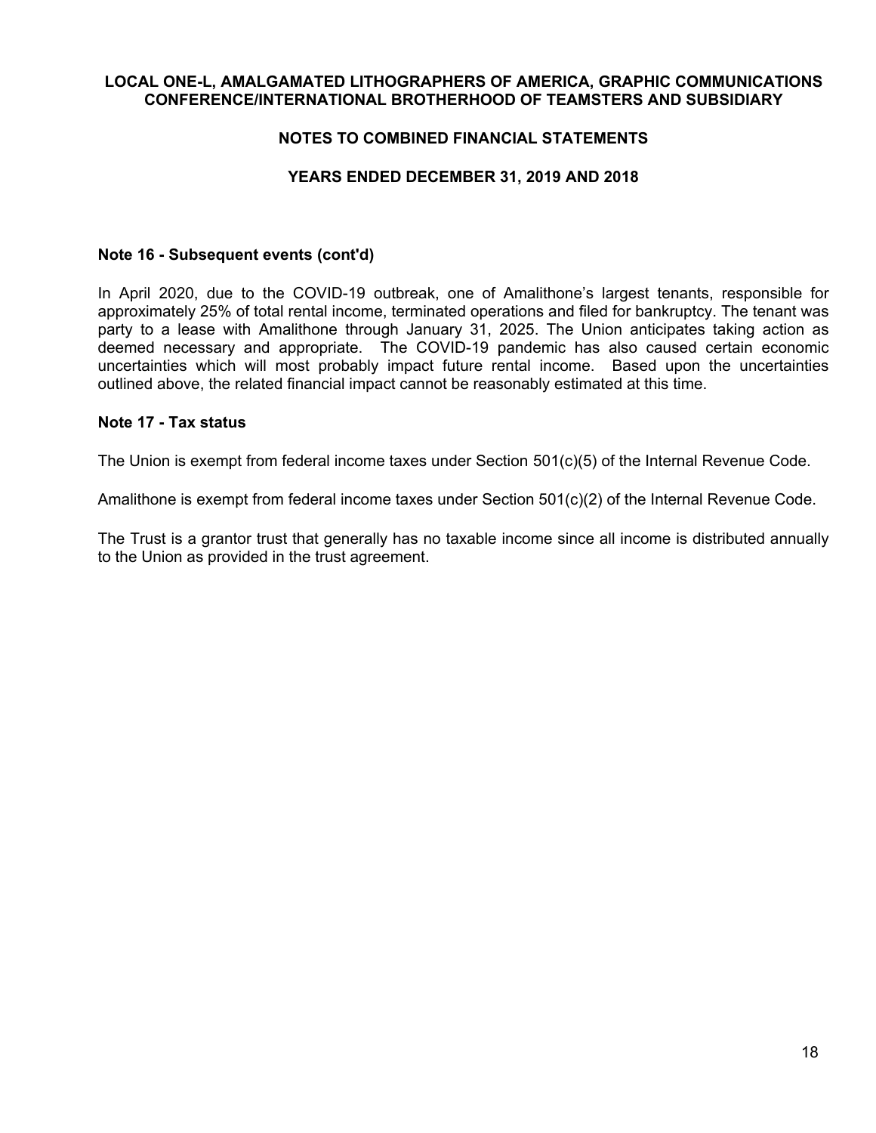## **NOTES TO COMBINED FINANCIAL STATEMENTS**

## **YEARS ENDED DECEMBER 31, 2019 AND 2018**

#### **Note 16 - Subsequent events (cont'd)**

In April 2020, due to the COVID-19 outbreak, one of Amalithone's largest tenants, responsible for approximately 25% of total rental income, terminated operations and filed for bankruptcy. The tenant was party to a lease with Amalithone through January 31, 2025. The Union anticipates taking action as deemed necessary and appropriate. The COVID-19 pandemic has also caused certain economic uncertainties which will most probably impact future rental income. Based upon the uncertainties outlined above, the related financial impact cannot be reasonably estimated at this time.

#### **Note 17 - Tax status**

The Union is exempt from federal income taxes under Section 501(c)(5) of the Internal Revenue Code.

Amalithone is exempt from federal income taxes under Section 501(c)(2) of the Internal Revenue Code.

The Trust is a grantor trust that generally has no taxable income since all income is distributed annually to the Union as provided in the trust agreement.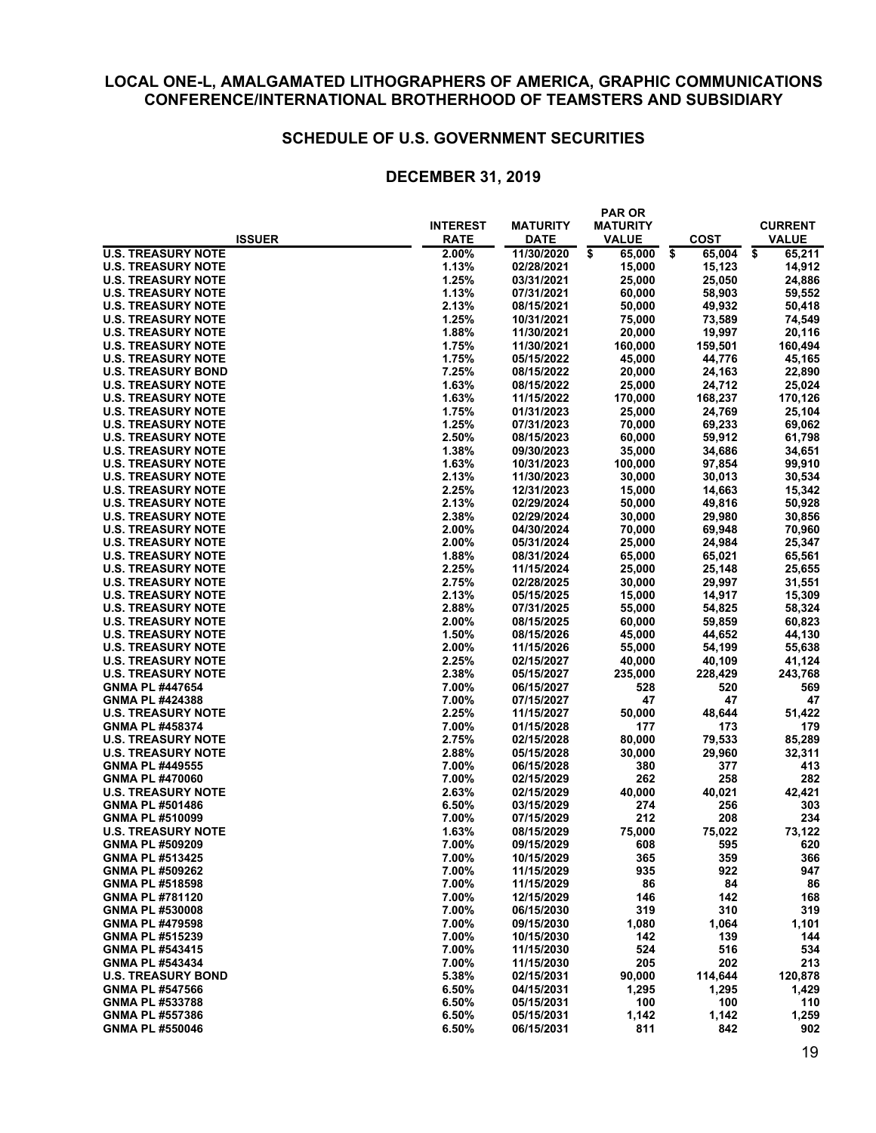#### **SCHEDULE OF U.S. GOVERNMENT SECURITIES**

|                           | <b>INTEREST</b> | <b>MATURITY</b> | <b>PAR OR</b><br><b>MATURITY</b> |              | <b>CURRENT</b> |
|---------------------------|-----------------|-----------------|----------------------------------|--------------|----------------|
| <b>ISSUER</b>             | <b>RATE</b>     | <b>DATE</b>     | <b>VALUE</b>                     | COST         | <b>VALUE</b>   |
| <b>U.S. TREASURY NOTE</b> | 2.00%           | 11/30/2020      | 65,000<br>\$                     | \$<br>65.004 | \$<br>65,211   |
| <b>U.S. TREASURY NOTE</b> | 1.13%           | 02/28/2021      | 15,000                           | 15,123       | 14,912         |
| <b>U.S. TREASURY NOTE</b> | 1.25%           | 03/31/2021      | 25,000                           | 25,050       | 24,886         |
| <b>U.S. TREASURY NOTE</b> | 1.13%           | 07/31/2021      | 60,000                           | 58,903       | 59,552         |
| <b>U.S. TREASURY NOTE</b> | 2.13%           | 08/15/2021      | 50,000                           | 49,932       | 50,418         |
| <b>U.S. TREASURY NOTE</b> | 1.25%           | 10/31/2021      | 75,000                           | 73,589       | 74,549         |
| <b>U.S. TREASURY NOTE</b> | 1.88%           | 11/30/2021      | 20,000                           | 19,997       | 20,116         |
| <b>U.S. TREASURY NOTE</b> | 1.75%           | 11/30/2021      | 160,000                          | 159,501      | 160,494        |
| <b>U.S. TREASURY NOTE</b> | 1.75%           | 05/15/2022      | 45,000                           | 44,776       | 45,165         |
| <b>U.S. TREASURY BOND</b> | 7.25%           | 08/15/2022      | 20,000                           | 24,163       | 22,890         |
| <b>U.S. TREASURY NOTE</b> | 1.63%           | 08/15/2022      | 25,000                           | 24,712       | 25,024         |
| <b>U.S. TREASURY NOTE</b> | 1.63%           | 11/15/2022      | 170,000                          | 168,237      | 170,126        |
| <b>U.S. TREASURY NOTE</b> | 1.75%           | 01/31/2023      | 25,000                           | 24,769       | 25,104         |
| <b>U.S. TREASURY NOTE</b> | 1.25%           | 07/31/2023      | 70,000                           | 69,233       | 69,062         |
| <b>U.S. TREASURY NOTE</b> | 2.50%           | 08/15/2023      | 60,000                           | 59,912       | 61,798         |
| <b>U.S. TREASURY NOTE</b> | 1.38%           | 09/30/2023      | 35,000                           | 34,686       | 34,651         |
| <b>U.S. TREASURY NOTE</b> | 1.63%           | 10/31/2023      | 100,000                          | 97,854       | 99,910         |
| <b>U.S. TREASURY NOTE</b> | 2.13%           | 11/30/2023      | 30,000                           | 30,013       | 30,534         |
| <b>U.S. TREASURY NOTE</b> | 2.25%           | 12/31/2023      | 15,000                           | 14,663       | 15,342         |
| <b>U.S. TREASURY NOTE</b> | 2.13%           | 02/29/2024      | 50,000                           | 49,816       | 50,928         |
| <b>U.S. TREASURY NOTE</b> | 2.38%           | 02/29/2024      | 30,000                           | 29,980       | 30,856         |
| <b>U.S. TREASURY NOTE</b> | 2.00%           | 04/30/2024      | 70,000                           | 69,948       | 70,960         |
| <b>U.S. TREASURY NOTE</b> | 2.00%           | 05/31/2024      | 25,000                           | 24,984       | 25,347         |
| <b>U.S. TREASURY NOTE</b> | 1.88%           | 08/31/2024      | 65,000                           | 65,021       | 65,561         |
| <b>U.S. TREASURY NOTE</b> | 2.25%           | 11/15/2024      | 25,000                           | 25,148       | 25,655         |
| <b>U.S. TREASURY NOTE</b> | 2.75%           | 02/28/2025      | 30,000                           | 29,997       | 31,551         |
| <b>U.S. TREASURY NOTE</b> | 2.13%           | 05/15/2025      | 15,000                           | 14,917       | 15,309         |
| <b>U.S. TREASURY NOTE</b> | 2.88%           | 07/31/2025      | 55,000                           | 54,825       | 58,324         |
| <b>U.S. TREASURY NOTE</b> | 2.00%           | 08/15/2025      | 60,000                           | 59,859       | 60,823         |
| <b>U.S. TREASURY NOTE</b> | 1.50%           | 08/15/2026      | 45,000                           | 44,652       | 44,130         |
| <b>U.S. TREASURY NOTE</b> | 2.00%           | 11/15/2026      | 55,000                           | 54,199       | 55,638         |
| <b>U.S. TREASURY NOTE</b> | 2.25%           | 02/15/2027      | 40,000                           | 40,109       | 41,124         |
| <b>U.S. TREASURY NOTE</b> | 2.38%           | 05/15/2027      | 235,000                          | 228,429      | 243,768        |
| <b>GNMA PL #447654</b>    | 7.00%           | 06/15/2027      | 528                              | 520          | 569            |
| <b>GNMA PL #424388</b>    | 7.00%           | 07/15/2027      | 47                               | 47           | 47             |
| <b>U.S. TREASURY NOTE</b> | 2.25%           | 11/15/2027      | 50,000                           | 48,644       | 51,422         |
| <b>GNMA PL #458374</b>    | 7.00%           | 01/15/2028      | 177                              | 173          | 179            |
| <b>U.S. TREASURY NOTE</b> | 2.75%           | 02/15/2028      | 80,000                           | 79,533       | 85,289         |
| <b>U.S. TREASURY NOTE</b> | 2.88%           | 05/15/2028      | 30,000                           | 29,960       | 32,311         |
| <b>GNMA PL #449555</b>    | 7.00%           | 06/15/2028      | 380                              | 377          | 413            |
| GNMA PL #470060           | 7.00%           | 02/15/2029      | 262                              | 258          | 282            |
| <b>U.S. TREASURY NOTE</b> | 2.63%           | 02/15/2029      | 40,000                           | 40,021       | 42,421         |
| <b>GNMA PL #501486</b>    | 6.50%           | 03/15/2029      | 274                              | 256          | 303            |
| <b>GNMA PL #510099</b>    | 7.00%           | 07/15/2029      | 212                              | 208          | 234            |
| <b>U.S. TREASURY NOTE</b> | 1.63%           | 08/15/2029      | 75,000                           | 75,022       | 73,122         |
| GNMA PL #509209           | 7.00%           | 09/15/2029      | 608                              | 595          | 620            |
| <b>GNMA PL #513425</b>    | 7.00%           | 10/15/2029      | 365                              | 359          | 366            |
| GNMA PL #509262           | 7.00%           | 11/15/2029      | 935                              | 922          | 947            |
| <b>GNMA PL #518598</b>    | 7.00%           | 11/15/2029      | 86                               | 84           | 86             |
| <b>GNMA PL #781120</b>    | 7.00%           | 12/15/2029      | 146                              | 142          | 168            |
| <b>GNMA PL #530008</b>    | 7.00%           | 06/15/2030      | 319                              | 310          | 319            |
| <b>GNMA PL #479598</b>    | 7.00%           | 09/15/2030      | 1,080                            | 1,064        | 1,101          |
| <b>GNMA PL #515239</b>    | 7.00%           | 10/15/2030      | 142                              | 139          | 144            |
| <b>GNMA PL #543415</b>    | 7.00%           | 11/15/2030      | 524                              | 516          | 534            |
| <b>GNMA PL #543434</b>    | 7.00%           | 11/15/2030      | 205                              | 202          | 213            |
| <b>U.S. TREASURY BOND</b> | 5.38%           | 02/15/2031      | 90,000                           | 114,644      | 120,878        |
| <b>GNMA PL #547566</b>    | 6.50%           | 04/15/2031      | 1,295                            | 1,295        | 1,429          |
| <b>GNMA PL #533788</b>    | 6.50%           | 05/15/2031      | 100                              | 100          | 110            |
| <b>GNMA PL #557386</b>    | 6.50%           | 05/15/2031      | 1,142                            | 1,142        | 1,259          |
| <b>GNMA PL #550046</b>    | 6.50%           | 06/15/2031      | 811                              | 842          | 902            |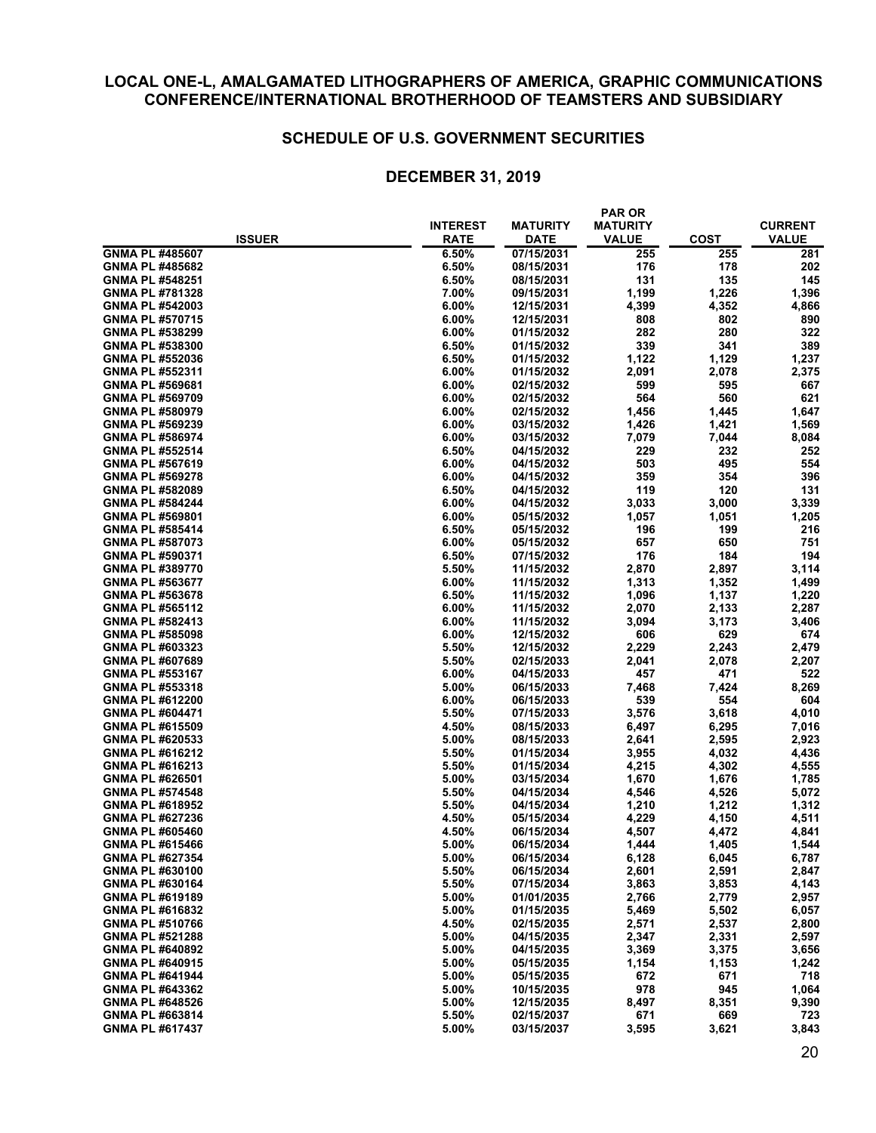#### **SCHEDULE OF U.S. GOVERNMENT SECURITIES**

|                        |                         |                                | <b>PAR OR</b>                   |             |                         |  |
|------------------------|-------------------------|--------------------------------|---------------------------------|-------------|-------------------------|--|
| <b>ISSUER</b>          | <b>INTEREST</b><br>RATE | <b>MATURITY</b><br><b>DATE</b> | <b>MATURITY</b><br><b>VALUE</b> | <b>COST</b> | <b>CURRENT</b><br>VALUE |  |
| GNMA PL #485607        | 6.50%                   | 07/15/2031                     | 255                             | 255         | 281                     |  |
| <b>GNMA PL #485682</b> | 6.50%                   | 08/15/2031                     | 176                             | 178         | 202                     |  |
| <b>GNMA PL #548251</b> | 6.50%                   | 08/15/2031                     | 131                             | 135         | 145                     |  |
| <b>GNMA PL #781328</b> | 7.00%                   | 09/15/2031                     | 1,199                           | 1,226       | 1,396                   |  |
| <b>GNMA PL #542003</b> | 6.00%                   | 12/15/2031                     | 4,399                           | 4,352       | 4,866                   |  |
| <b>GNMA PL #570715</b> | 6.00%                   | 12/15/2031                     | 808                             | 802         | 890                     |  |
| <b>GNMA PL #538299</b> | 6.00%                   | 01/15/2032                     | 282                             | 280         | 322                     |  |
| GNMA PL #538300        | 6.50%                   | 01/15/2032                     | 339                             | 341         | 389                     |  |
| GNMA PL #552036        | 6.50%                   | 01/15/2032                     | 1,122                           | 1,129       | 1,237                   |  |
| <b>GNMA PL #552311</b> | $6.00\%$                | 01/15/2032                     | 2,091                           | 2,078       | 2,375                   |  |
| <b>GNMA PL #569681</b> | 6.00%                   | 02/15/2032                     | 599                             | 595         | 667                     |  |
| GNMA PL #569709        | 6.00%                   | 02/15/2032                     | 564                             | 560         | 621                     |  |
| <b>GNMA PL #580979</b> | 6.00%                   | 02/15/2032                     | 1,456                           | 1,445       | 1,647                   |  |
| <b>GNMA PL #569239</b> | $6.00\%$                | 03/15/2032                     | 1,426                           | 1,421       | 1,569                   |  |
| GNMA PL #586974        | 6.00%                   | 03/15/2032                     | 7,079                           | 7,044       | 8,084                   |  |
| <b>GNMA PL #552514</b> | 6.50%                   | 04/15/2032                     | 229                             | 232         | 252                     |  |
| <b>GNMA PL #567619</b> | 6.00%                   | 04/15/2032                     | 503                             | 495         | 554                     |  |
| <b>GNMA PL #569278</b> | 6.00%                   | 04/15/2032                     | 359                             | 354         | 396                     |  |
| <b>GNMA PL #582089</b> | 6.50%                   | 04/15/2032                     | 119                             | 120         | 131                     |  |
| <b>GNMA PL #584244</b> | 6.00%                   | 04/15/2032                     | 3,033                           | 3,000       | 3,339                   |  |
| GNMA PL #569801        | 6.00%                   | 05/15/2032                     | 1,057                           | 1,051       | 1,205                   |  |
| <b>GNMA PL #585414</b> | 6.50%                   | 05/15/2032                     | 196                             | 199         | 216                     |  |
| <b>GNMA PL #587073</b> | 6.00%                   | 05/15/2032                     | 657                             | 650         | 751                     |  |
| <b>GNMA PL #590371</b> | 6.50%                   | 07/15/2032                     | 176                             | 184         | 194                     |  |
| GNMA PL #389770        | 5.50%                   | 11/15/2032                     | 2,870                           | 2,897       | 3,114                   |  |
| <b>GNMA PL #563677</b> | 6.00%                   | 11/15/2032                     | 1,313                           | 1,352       | 1,499                   |  |
| <b>GNMA PL #563678</b> | 6.50%                   | 11/15/2032                     | 1,096                           | 1,137       | 1,220                   |  |
| <b>GNMA PL #565112</b> | 6.00%                   | 11/15/2032                     | 2,070                           | 2,133       | 2,287                   |  |
| <b>GNMA PL #582413</b> | 6.00%                   | 11/15/2032                     | 3,094                           | 3,173       | 3,406                   |  |
| <b>GNMA PL #585098</b> | $6.00\%$                | 12/15/2032                     | 606                             | 629         | 674                     |  |
| GNMA PL #603323        | 5.50%                   | 12/15/2032                     | 2,229                           | 2,243       | 2,479                   |  |
| <b>GNMA PL #607689</b> | 5.50%                   | 02/15/2033                     | 2,041                           | 2,078       | 2,207                   |  |
| <b>GNMA PL #553167</b> | 6.00%                   | 04/15/2033                     | 457                             | 471         | 522                     |  |
| <b>GNMA PL #553318</b> | 5.00%                   | 06/15/2033                     | 7,468                           | 7,424       | 8,269                   |  |
| <b>GNMA PL #612200</b> | 6.00%                   | 06/15/2033                     | 539                             | 554         | 604                     |  |
| GNMA PL #604471        | 5.50%                   | 07/15/2033                     | 3,576                           | 3,618       | 4,010                   |  |
| GNMA PL #615509        | 4.50%                   | 08/15/2033                     | 6,497                           | 6,295       | 7,016                   |  |
| <b>GNMA PL #620533</b> | 5.00%                   | 08/15/2033                     | 2,641                           | 2,595       | 2,923                   |  |
| <b>GNMA PL #616212</b> | 5.50%                   | 01/15/2034                     | 3,955                           | 4,032       | 4,436                   |  |
| <b>GNMA PL #616213</b> | 5.50%                   | 01/15/2034                     | 4,215                           | 4,302       | 4,555                   |  |
| GNMA PL #626501        | 5.00%                   | 03/15/2034                     | 1,670                           | 1,676       | 1,785                   |  |
| <b>GNMA PL #574548</b> | 5.50%                   | 04/15/2034                     | 4,546                           | 4,526       | 5,072                   |  |
| GNMA PL #618952        | 5.50%                   | 04/15/2034                     | 1,210                           | 1,212       | 1,312                   |  |
| GNMA PL #627236        | 4.50%                   | 05/15/2034                     | 4,229                           | 4,150       | 4,511                   |  |
| <b>GNMA PL #605460</b> | 4.50%                   | 06/15/2034                     | 4,507                           | 4,472       | 4,841                   |  |
| GNMA PL #615466        | 5.00%                   | 06/15/2034                     | 1,444                           | 1,405       | 1,544                   |  |
| <b>GNMA PL #627354</b> | 5.00%                   | 06/15/2034                     | 6,128                           | 6,045       | 6,787                   |  |
| GNMA PL #630100        | 5.50%                   | 06/15/2034                     | 2,601                           | 2,591       | 2,847                   |  |
| GNMA PL #630164        | 5.50%                   | 07/15/2034                     | 3,863                           | 3,853       | 4,143                   |  |
| <b>GNMA PL #619189</b> | 5.00%                   | 01/01/2035                     | 2,766                           | 2,779       | 2,957                   |  |
| GNMA PL #616832        | 5.00%                   | 01/15/2035                     | 5,469                           | 5,502       | 6,057                   |  |
| <b>GNMA PL #510766</b> | 4.50%                   | 02/15/2035                     | 2,571                           | 2,537       | 2,800                   |  |
| <b>GNMA PL #521288</b> | 5.00%                   | 04/15/2035                     | 2,347                           | 2,331       | 2,597                   |  |
| <b>GNMA PL #640892</b> | 5.00%                   | 04/15/2035                     | 3,369                           | 3,375       | 3,656                   |  |
| GNMA PL #640915        | 5.00%                   | 05/15/2035                     | 1,154                           | 1,153       | 1,242                   |  |
| GNMA PL #641944        | 5.00%                   | 05/15/2035                     | 672                             | 671         | 718                     |  |
| <b>GNMA PL #643362</b> | 5.00%                   | 10/15/2035                     | 978                             | 945         | 1,064                   |  |
| <b>GNMA PL #648526</b> | 5.00%                   | 12/15/2035                     | 8,497                           | 8,351       | 9,390                   |  |
| GNMA PL #663814        | 5.50%                   | 02/15/2037                     | 671                             | 669         | 723                     |  |
| <b>GNMA PL #617437</b> | 5.00%                   | 03/15/2037                     | 3,595                           | 3,621       | 3,843                   |  |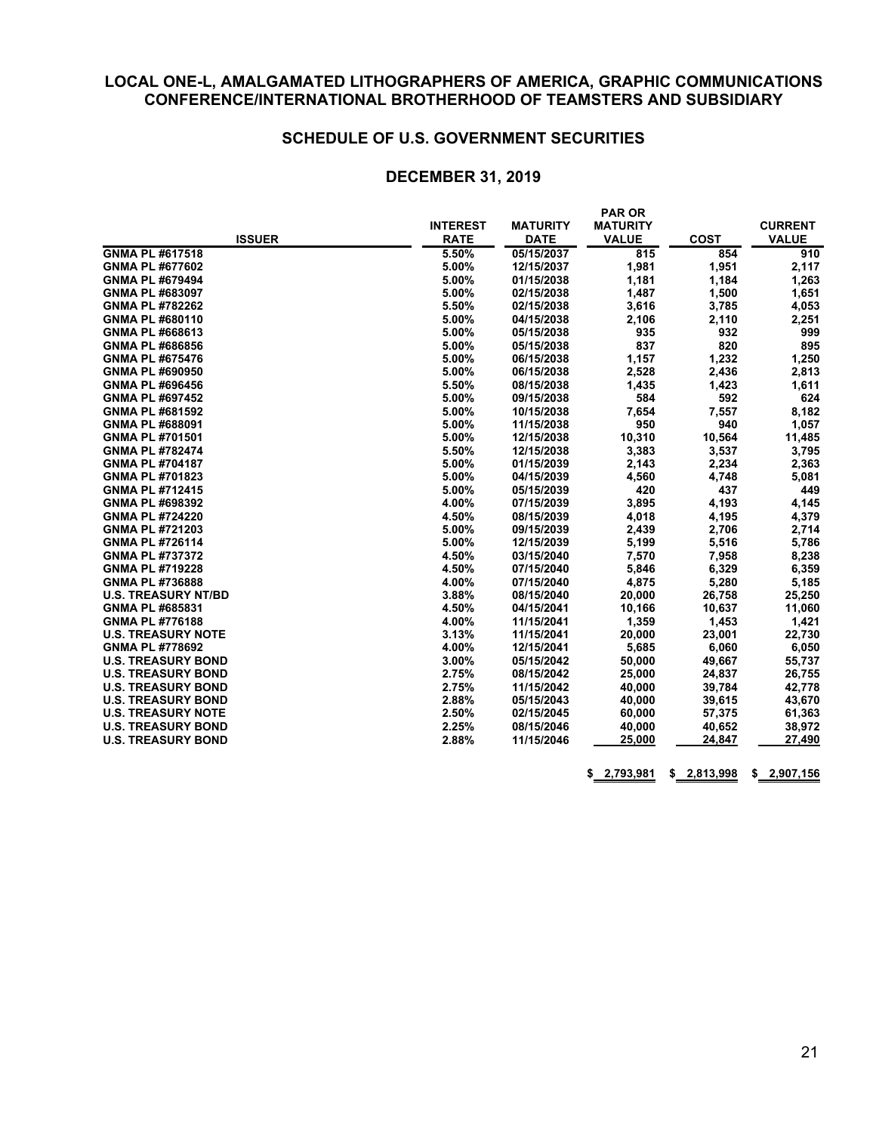#### **SCHEDULE OF U.S. GOVERNMENT SECURITIES**

#### **DECEMBER 31, 2019**

|                            | <b>INTEREST</b> | <b>MATURITY</b> | <b>MATURITY</b> |             | <b>CURRENT</b> |  |
|----------------------------|-----------------|-----------------|-----------------|-------------|----------------|--|
| <b>ISSUER</b>              | <b>RATE</b>     | <b>DATE</b>     | <b>VALUE</b>    | <b>COST</b> | <b>VALUE</b>   |  |
| GNMA PL #617518            | 5.50%           | 05/15/2037      | 815             | 854         | 910            |  |
| GNMA PL #677602            | 5.00%           | 12/15/2037      | 1,981           | 1,951       | 2,117          |  |
| GNMA PL #679494            | 5.00%           | 01/15/2038      | 1,181           | 1,184       | 1,263          |  |
| GNMA PL #683097            | 5.00%           | 02/15/2038      | 1,487           | 1,500       | 1,651          |  |
| <b>GNMA PL #782262</b>     | 5.50%           | 02/15/2038      | 3,616           | 3,785       | 4,053          |  |
| GNMA PL #680110            | 5.00%           | 04/15/2038      | 2,106           | 2,110       | 2,251          |  |
| GNMA PL #668613            | 5.00%           | 05/15/2038      | 935             | 932         | 999            |  |
| <b>GNMA PL #686856</b>     | 5.00%           | 05/15/2038      | 837             | 820         | 895            |  |
| GNMA PL #675476            | 5.00%           | 06/15/2038      | 1,157           | 1,232       | 1,250          |  |
| GNMA PL #690950            | 5.00%           | 06/15/2038      | 2,528           | 2,436       | 2,813          |  |
| GNMA PL #696456            | 5.50%           | 08/15/2038      | 1,435           | 1,423       | 1,611          |  |
| <b>GNMA PL #697452</b>     | 5.00%           | 09/15/2038      | 584             | 592         | 624            |  |
| <b>GNMA PL #681592</b>     | 5.00%           | 10/15/2038      | 7,654           | 7,557       | 8,182          |  |
| GNMA PL #688091            | 5.00%           | 11/15/2038      | 950             | 940         | 1,057          |  |
| GNMA PL #701501            | 5.00%           | 12/15/2038      | 10,310          | 10,564      | 11,485         |  |
| <b>GNMA PL #782474</b>     | 5.50%           | 12/15/2038      | 3,383           | 3,537       | 3,795          |  |
| GNMA PL #704187            | 5.00%           | 01/15/2039      | 2,143           | 2,234       | 2,363          |  |
| GNMA PL #701823            | 5.00%           | 04/15/2039      | 4,560           | 4,748       | 5,081          |  |
| <b>GNMA PL #712415</b>     | 5.00%           | 05/15/2039      | 420             | 437         | 449            |  |
| <b>GNMA PL #698392</b>     | 4.00%           | 07/15/2039      | 3,895           | 4,193       | 4,145          |  |
| <b>GNMA PL #724220</b>     | 4.50%           | 08/15/2039      | 4,018           | 4,195       | 4,379          |  |
| GNMA PL #721203            | 5.00%           | 09/15/2039      | 2,439           | 2,706       | 2,714          |  |
| <b>GNMA PL #726114</b>     | 5.00%           | 12/15/2039      | 5,199           | 5,516       | 5,786          |  |
| <b>GNMA PL #737372</b>     | 4.50%           | 03/15/2040      | 7,570           | 7,958       | 8,238          |  |
| <b>GNMA PL #719228</b>     | 4.50%           | 07/15/2040      | 5,846           | 6,329       | 6,359          |  |
| <b>GNMA PL #736888</b>     | 4.00%           | 07/15/2040      | 4,875           | 5,280       | 5,185          |  |
| <b>U.S. TREASURY NT/BD</b> | 3.88%           | 08/15/2040      | 20,000          | 26,758      | 25,250         |  |
| GNMA PL #685831            | 4.50%           | 04/15/2041      | 10,166          | 10,637      | 11,060         |  |
| <b>GNMA PL #776188</b>     | 4.00%           | 11/15/2041      | 1,359           | 1,453       | 1,421          |  |
| <b>U.S. TREASURY NOTE</b>  | 3.13%           | 11/15/2041      | 20,000          | 23,001      | 22,730         |  |
| <b>GNMA PL #778692</b>     | 4.00%           | 12/15/2041      | 5,685           | 6,060       | 6,050          |  |
| <b>U.S. TREASURY BOND</b>  | 3.00%           | 05/15/2042      | 50,000          | 49,667      | 55,737         |  |
| <b>U.S. TREASURY BOND</b>  | 2.75%           | 08/15/2042      | 25,000          | 24,837      | 26,755         |  |
| <b>U.S. TREASURY BOND</b>  | 2.75%           | 11/15/2042      | 40,000          | 39,784      | 42,778         |  |
| <b>U.S. TREASURY BOND</b>  | 2.88%           | 05/15/2043      | 40,000          | 39,615      | 43,670         |  |
| <b>U.S. TREASURY NOTE</b>  | 2.50%           | 02/15/2045      | 60,000          | 57,375      | 61,363         |  |
| <b>U.S. TREASURY BOND</b>  | 2.25%           | 08/15/2046      | 40,000          | 40,652      | 38,972         |  |
| <b>U.S. TREASURY BOND</b>  | 2.88%           | 11/15/2046      | 25,000          | 24,847      | 27,490         |  |

**\$ 2,793,981 \$ 2,813,998 \$ 2,907,156**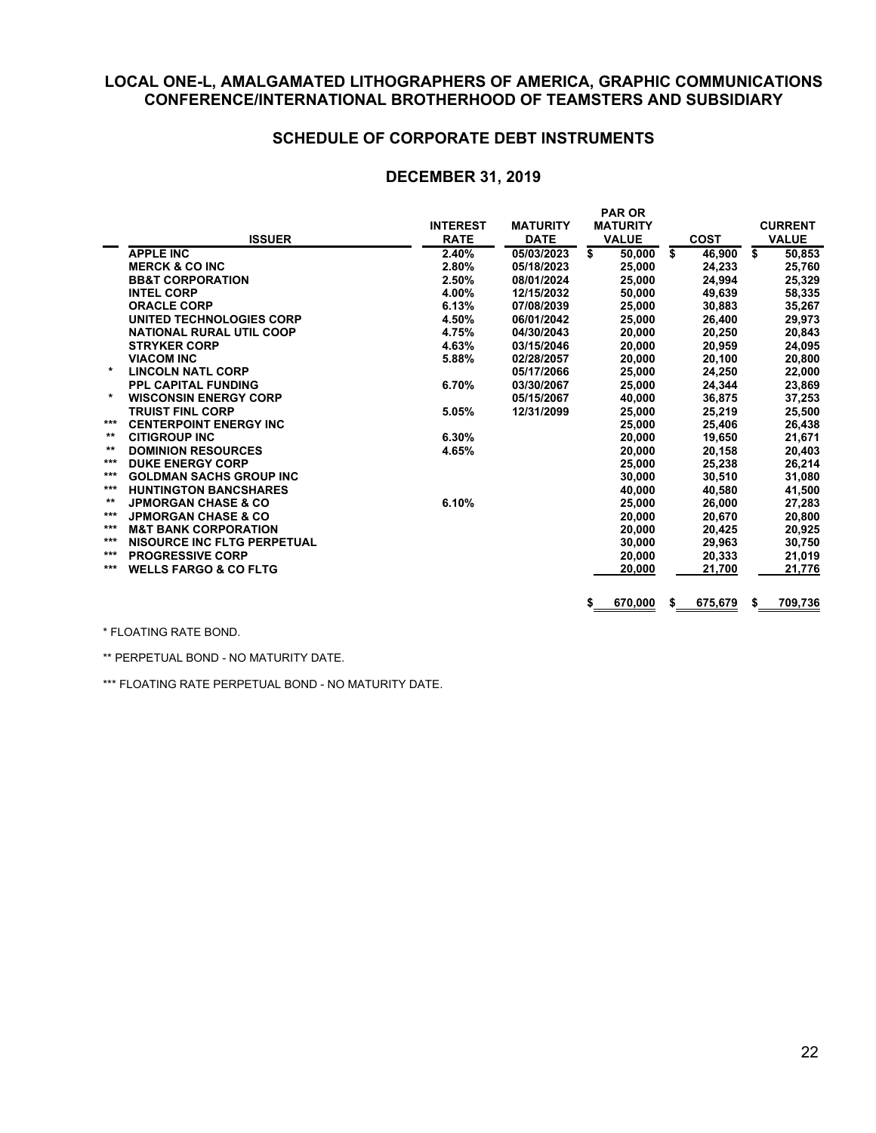#### **SCHEDULE OF CORPORATE DEBT INSTRUMENTS**

#### **DECEMBER 31, 2019**

|       | <b>ISSUER</b>                      | <b>INTEREST</b><br><b>RATE</b> | <b>MATURITY</b><br><b>DATE</b> | <b>PAR OR</b><br><b>MATURITY</b><br><b>VALUE</b> |    | <b>COST</b> |    | <b>CURRENT</b><br><b>VALUE</b> |
|-------|------------------------------------|--------------------------------|--------------------------------|--------------------------------------------------|----|-------------|----|--------------------------------|
|       | <b>APPLE INC</b>                   | 2.40%                          | 05/03/2023                     | \$<br>50,000                                     | \$ | 46.900      | \$ | 50,853                         |
|       | <b>MERCK &amp; CO INC</b>          | 2.80%                          | 05/18/2023                     | 25,000                                           |    | 24,233      |    | 25,760                         |
|       | <b>BB&amp;T CORPORATION</b>        | 2.50%                          | 08/01/2024                     | 25,000                                           |    | 24,994      |    | 25,329                         |
|       | <b>INTEL CORP</b>                  | 4.00%                          | 12/15/2032                     | 50,000                                           |    | 49,639      |    | 58,335                         |
|       | <b>ORACLE CORP</b>                 | 6.13%                          | 07/08/2039                     | 25,000                                           |    | 30.883      |    | 35,267                         |
|       | UNITED TECHNOLOGIES CORP           | 4.50%                          | 06/01/2042                     | 25,000                                           |    | 26,400      |    | 29,973                         |
|       | <b>NATIONAL RURAL UTIL COOP</b>    | 4.75%                          | 04/30/2043                     | 20,000                                           |    | 20.250      |    | 20,843                         |
|       | <b>STRYKER CORP</b>                | 4.63%                          | 03/15/2046                     | 20,000                                           |    | 20,959      |    | 24,095                         |
|       | <b>VIACOM INC</b>                  | 5.88%                          | 02/28/2057                     | 20,000                                           |    | 20,100      |    | 20,800                         |
| *     | <b>LINCOLN NATL CORP</b>           |                                | 05/17/2066                     | 25.000                                           |    | 24.250      |    | 22,000                         |
|       | <b>PPL CAPITAL FUNDING</b>         | 6.70%                          | 03/30/2067                     | 25,000                                           |    | 24,344      |    | 23,869                         |
| *     | <b>WISCONSIN ENERGY CORP</b>       |                                | 05/15/2067                     | 40,000                                           |    | 36,875      |    | 37,253                         |
|       | <b>TRUIST FINL CORP</b>            | 5.05%                          | 12/31/2099                     | 25,000                                           |    | 25,219      |    | 25,500                         |
| ***   | <b>CENTERPOINT ENERGY INC</b>      |                                |                                | 25,000                                           |    | 25,406      |    | 26,438                         |
| $***$ | <b>CITIGROUP INC</b>               | 6.30%                          |                                | 20,000                                           |    | 19.650      |    | 21,671                         |
| $***$ | <b>DOMINION RESOURCES</b>          | 4.65%                          |                                | 20,000                                           |    | 20,158      |    | 20,403                         |
| ***   | <b>DUKE ENERGY CORP</b>            |                                |                                | 25,000                                           |    | 25,238      |    | 26,214                         |
| ***   | <b>GOLDMAN SACHS GROUP INC</b>     |                                |                                | 30.000                                           |    | 30.510      |    | 31,080                         |
| ***   | <b>HUNTINGTON BANCSHARES</b>       |                                |                                | 40,000                                           |    | 40,580      |    | 41,500                         |
| $***$ | <b>JPMORGAN CHASE &amp; CO</b>     | 6.10%                          |                                | 25,000                                           |    | 26.000      |    | 27,283                         |
| ***   | <b>JPMORGAN CHASE &amp; CO</b>     |                                |                                | 20,000                                           |    | 20.670      |    | 20,800                         |
| ***   | <b>M&amp;T BANK CORPORATION</b>    |                                |                                | 20,000                                           |    | 20,425      |    | 20,925                         |
| ***   | <b>NISOURCE INC FLTG PERPETUAL</b> |                                |                                | 30,000                                           |    | 29,963      |    | 30,750                         |
| ***   | <b>PROGRESSIVE CORP</b>            |                                |                                | 20,000                                           |    | 20,333      |    | 21,019                         |
| ***   | <b>WELLS FARGO &amp; CO FLTG</b>   |                                |                                | 20,000                                           |    | 21,700      |    | 21,776                         |
|       |                                    |                                |                                | 670,000<br>\$                                    | S  | 675,679     | S  | 709,736                        |

\* FLOATING RATE BOND.

\*\* PERPETUAL BOND - NO MATURITY DATE.

\*\*\* FLOATING RATE PERPETUAL BOND - NO MATURITY DATE.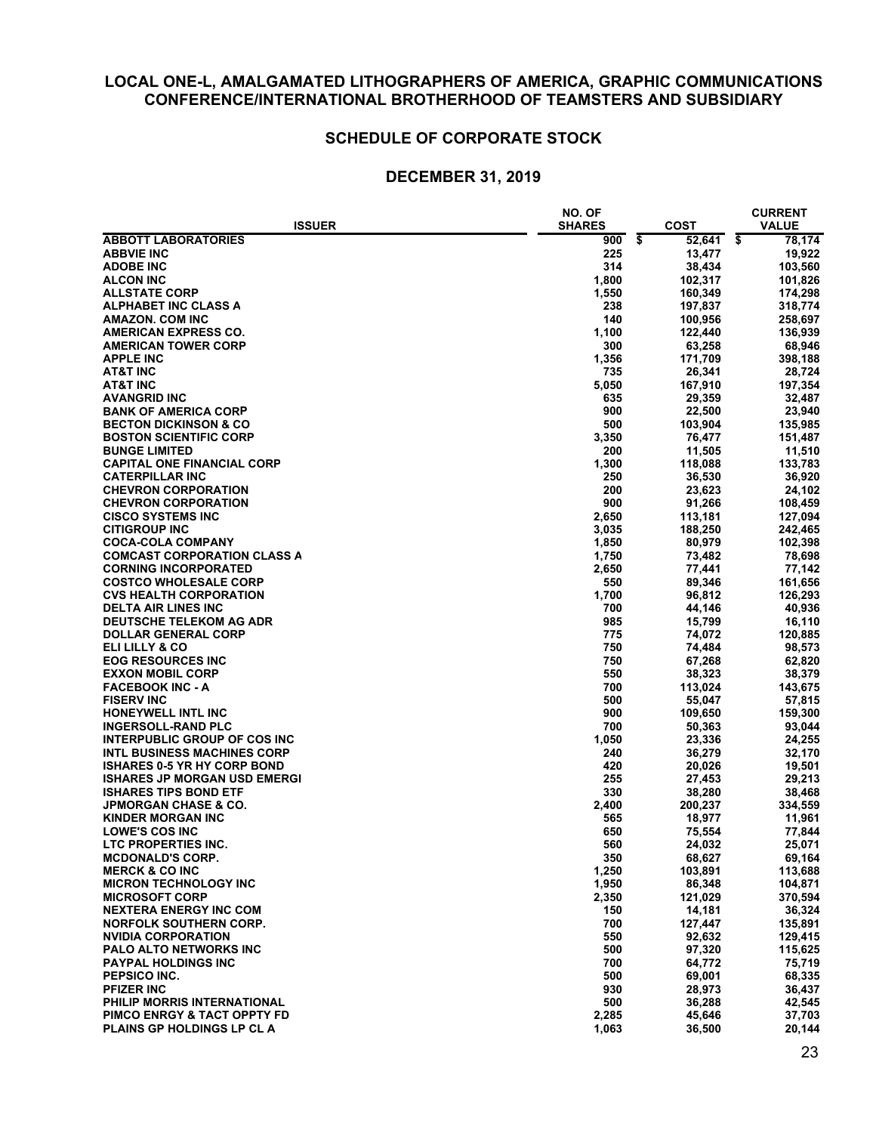## **SCHEDULE OF CORPORATE STOCK**

|                                     | <b>NO. OF</b> |              | <b>CURRENT</b> |
|-------------------------------------|---------------|--------------|----------------|
| <b>ISSUER</b>                       | <b>SHARES</b> | <b>COST</b>  | <b>VALUE</b>   |
| <b>ABBOTT LABORATORIES</b>          | 900           | \$<br>52,641 | \$<br>78,174   |
| <b>ABBVIE INC</b>                   | 225           | 13,477       | 19,922         |
| <b>ADOBE INC</b>                    | 314           | 38,434       | 103,560        |
| <b>ALCON INC</b>                    | 1,800         | 102,317      | 101,826        |
| <b>ALLSTATE CORP</b>                | 1,550         | 160,349      | 174,298        |
| <b>ALPHABET INC CLASS A</b>         | 238           | 197,837      | 318,774        |
| AMAZON. COM INC                     | 140           | 100,956      | 258,697        |
| <b>AMERICAN EXPRESS CO.</b>         | 1,100         | 122,440      | 136,939        |
| <b>AMERICAN TOWER CORP</b>          | 300           | 63,258       | 68,946         |
|                                     |               | 171,709      |                |
| <b>APPLE INC</b>                    | 1,356         |              | 398,188        |
| <b>AT&amp;T INC</b>                 | 735           | 26,341       | 28,724         |
| AT&T INC                            | 5,050         | 167,910      | 197,354        |
| <b>AVANGRID INC</b>                 | 635           | 29,359       | 32,487         |
| <b>BANK OF AMERICA CORP</b>         | 900           | 22,500       | 23,940         |
| <b>BECTON DICKINSON &amp; CO</b>    | 500           | 103,904      | 135,985        |
| <b>BOSTON SCIENTIFIC CORP</b>       | 3,350         | 76,477       | 151,487        |
| <b>BUNGE LIMITED</b>                | 200           | 11,505       | 11,510         |
| <b>CAPITAL ONE FINANCIAL CORP</b>   | 1,300         | 118,088      | 133,783        |
| <b>CATERPILLAR INC</b>              | 250           | 36,530       | 36,920         |
| <b>CHEVRON CORPORATION</b>          | 200           | 23,623       | 24,102         |
| <b>CHEVRON CORPORATION</b>          | 900           | 91,266       | 108,459        |
| <b>CISCO SYSTEMS INC</b>            | 2,650         | 113,181      | 127,094        |
| <b>CITIGROUP INC</b>                | 3,035         | 188,250      | 242,465        |
| <b>COCA-COLA COMPANY</b>            | 1,850         | 80,979       | 102,398        |
| <b>COMCAST CORPORATION CLASS A</b>  | 1,750         | 73,482       | 78,698         |
| <b>CORNING INCORPORATED</b>         | 2,650         | 77,441       | 77,142         |
| <b>COSTCO WHOLESALE CORP</b>        | 550           | 89.346       | 161,656        |
| <b>CVS HEALTH CORPORATION</b>       | 1,700         | 96,812       | 126,293        |
| <b>DELTA AIR LINES INC</b>          | 700           | 44,146       | 40,936         |
| <b>DEUTSCHE TELEKOM AG ADR</b>      | 985           | 15,799       | 16,110         |
| <b>DOLLAR GENERAL CORP</b>          | 775           | 74,072       | 120,885        |
| ELI LILLY & CO                      | 750           | 74,484       | 98,573         |
|                                     | 750           |              |                |
| <b>EOG RESOURCES INC</b>            |               | 67,268       | 62,820         |
| <b>EXXON MOBIL CORP</b>             | 550           | 38,323       | 38,379         |
| <b>FACEBOOK INC - A</b>             | 700           | 113,024      | 143,675        |
| <b>FISERV INC</b>                   | 500           | 55,047       | 57,815         |
| <b>HONEYWELL INTL INC</b>           | 900           | 109,650      | 159,300        |
| <b>INGERSOLL-RAND PLC</b>           | 700           | 50,363       | 93,044         |
| <b>INTERPUBLIC GROUP OF COS INC</b> | 1,050         | 23,336       | 24,255         |
| <b>INTL BUSINESS MACHINES CORP</b>  | 240           | 36,279       | 32,170         |
| <b>ISHARES 0-5 YR HY CORP BOND</b>  | 420           | 20,026       | 19,501         |
| <b>ISHARES JP MORGAN USD EMERGI</b> | 255           | 27,453       | 29,213         |
| <b>ISHARES TIPS BOND ETF</b>        | 330           | 38,280       | 38,468         |
| <b>JPMORGAN CHASE &amp; CO.</b>     | 2,400         | 200,237      | 334,559        |
| <b>KINDER MORGAN INC</b>            | 565           | 18,977       | 11,961         |
| <b>LOWE'S COS INC</b>               | 650           | 75,554       | 77,844         |
| LTC PROPERTIES INC                  | 560           | 24,032       | 25,071         |
| <b>MCDONALD'S CORP.</b>             | 350           | 68,627       | 69,164         |
| <b>MERCK &amp; CO INC</b>           | 1,250         | 103,891      | 113,688        |
| <b>MICRON TECHNOLOGY INC</b>        | 1,950         | 86,348       | 104,871        |
| <b>MICROSOFT CORP</b>               | 2,350         | 121,029      | 370,594        |
| <b>NEXTERA ENERGY INC COM</b>       | 150           | 14,181       | 36,324         |
| <b>NORFOLK SOUTHERN CORP.</b>       | 700           | 127,447      | 135,891        |
| <b>NVIDIA CORPORATION</b>           | 550           | 92,632       | 129,415        |
| <b>PALO ALTO NETWORKS INC</b>       | 500           | 97,320       | 115,625        |
| <b>PAYPAL HOLDINGS INC</b>          | 700           | 64,772       | 75,719         |
| <b>PEPSICO INC.</b>                 | 500           | 69,001       | 68,335         |
| <b>PFIZER INC</b>                   | 930           | 28,973       | 36,437         |
| PHILIP MORRIS INTERNATIONAL         | 500           | 36,288       | 42,545         |
|                                     |               |              |                |
| PIMCO ENRGY & TACT OPPTY FD         | 2,285         | 45,646       | 37,703         |
| <b>PLAINS GP HOLDINGS LP CL A</b>   | 1,063         | 36,500       | 20,144         |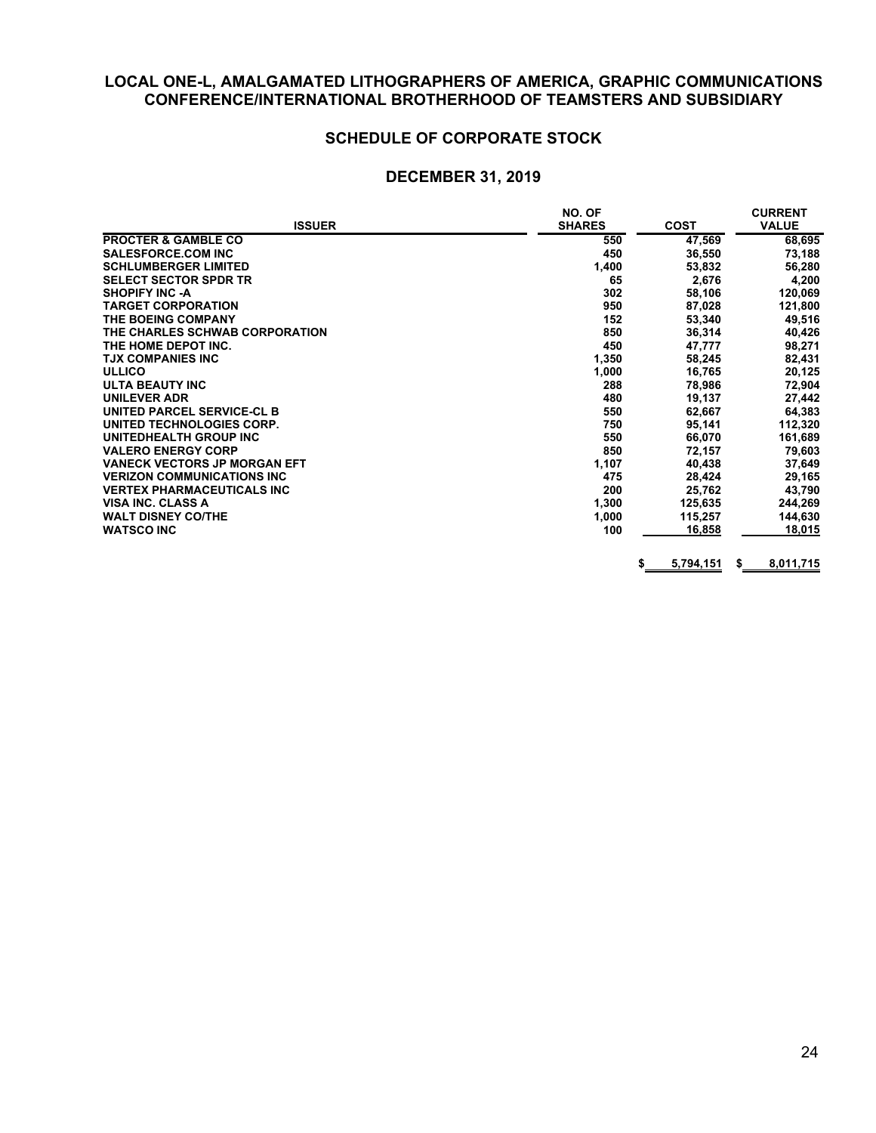## **SCHEDULE OF CORPORATE STOCK**

|                                     | NO. OF        |                 | <b>CURRENT</b> |
|-------------------------------------|---------------|-----------------|----------------|
| <b>ISSUER</b>                       | <b>SHARES</b> | <b>COST</b>     | <b>VALUE</b>   |
| <b>PROCTER &amp; GAMBLE CO</b>      | 550           | 47,569          | 68,695         |
| <b>SALESFORCE.COM INC</b>           | 450           | 36,550          | 73,188         |
| <b>SCHLUMBERGER LIMITED</b>         | 1,400         | 53,832          | 56,280         |
| <b>SELECT SECTOR SPDR TR</b>        | 65            | 2,676           | 4,200          |
| <b>SHOPIFY INC -A</b>               | 302           | 58,106          | 120,069        |
| <b>TARGET CORPORATION</b>           | 950           | 87,028          | 121,800        |
| THE BOEING COMPANY                  | 152           | 53,340          | 49,516         |
| THE CHARLES SCHWAB CORPORATION      | 850           | 36,314          | 40,426         |
| THE HOME DEPOT INC.                 | 450           | 47,777          | 98,271         |
| <b>TJX COMPANIES INC</b>            | 1,350         | 58,245          | 82,431         |
| <b>ULLICO</b>                       | 1,000         | 16,765          | 20,125         |
| <b>ULTA BEAUTY INC</b>              | 288           | 78,986          | 72,904         |
| <b>UNILEVER ADR</b>                 | 480           | 19,137          | 27,442         |
| UNITED PARCEL SERVICE-CL B          | 550           | 62,667          | 64,383         |
| UNITED TECHNOLOGIES CORP.           | 750           | 95,141          | 112,320        |
| UNITEDHEALTH GROUP INC              | 550           | 66,070          | 161,689        |
| <b>VALERO ENERGY CORP</b>           | 850           | 72,157          | 79,603         |
| <b>VANECK VECTORS JP MORGAN EFT</b> | 1,107         | 40,438          | 37,649         |
| <b>VERIZON COMMUNICATIONS INC.</b>  | 475           | 28,424          | 29,165         |
| <b>VERTEX PHARMACEUTICALS INC</b>   | 200           | 25,762          | 43,790         |
| <b>VISA INC. CLASS A</b>            | 1,300         | 125,635         | 244,269        |
| <b>WALT DISNEY CO/THE</b>           | 1,000         | 115,257         | 144,630        |
| <b>WATSCO INC</b>                   | 100           | 16,858          | 18,015         |
|                                     |               | 5,794,151<br>\$ | 8,011,715<br>S |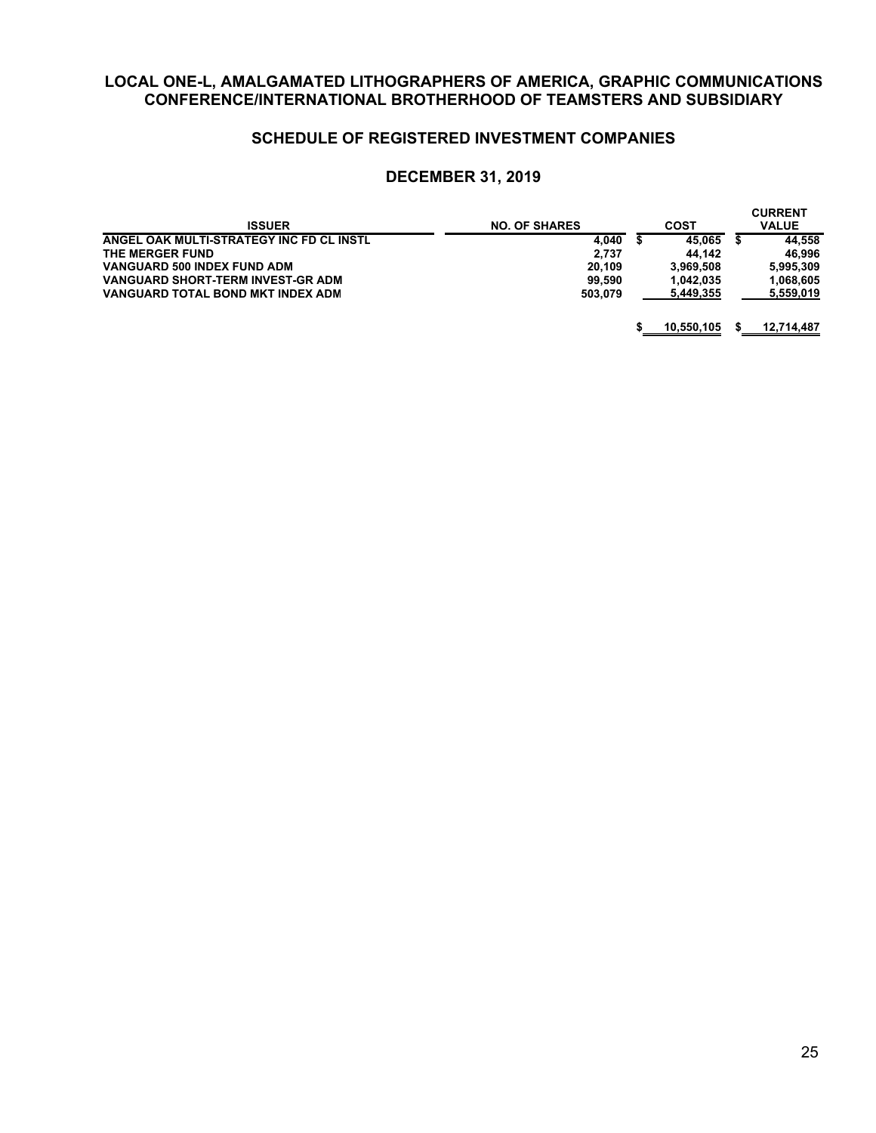## **SCHEDULE OF REGISTERED INVESTMENT COMPANIES**

| <b>ISSUER</b>                            | <b>NO. OF SHARES</b> | <b>COST</b> | <b>CURRENT</b><br><b>VALUE</b> |
|------------------------------------------|----------------------|-------------|--------------------------------|
| ANGEL OAK MULTI-STRATEGY INC FD CL INSTL | 4.040                | 45.065      | 44.558                         |
| THE MERGER FUND                          | 2.737                | 44.142      | 46.996                         |
| VANGUARD 500 INDEX FUND ADM              | 20.109               | 3.969.508   | 5.995.309                      |
| <b>VANGUARD SHORT-TERM INVEST-GR ADM</b> | 99.590               | 1.042.035   | 1.068.605                      |
| VANGUARD TOTAL BOND MKT INDEX ADM        | 503.079              | 5.449.355   | 5,559,019                      |
|                                          |                      | 10,550,105  | 12,714,487                     |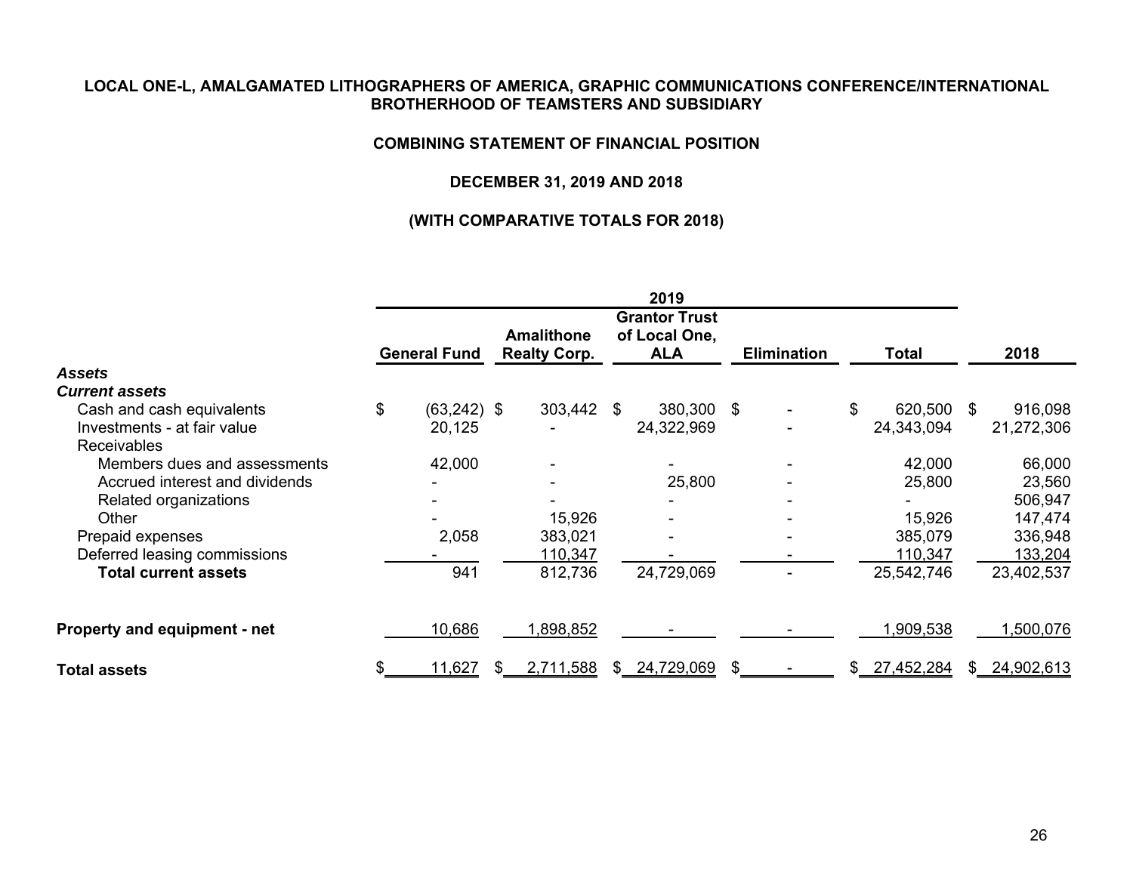#### **COMBINING STATEMENT OF FINANCIAL POSITION**

## **DECEMBER 31, 2019 AND 2018**

|                                |    |                     |  |                                          |     | 2019                                                |     |                    |     |            |     |              |
|--------------------------------|----|---------------------|--|------------------------------------------|-----|-----------------------------------------------------|-----|--------------------|-----|------------|-----|--------------|
|                                |    | <b>General Fund</b> |  | <b>Amalithone</b><br><b>Realty Corp.</b> |     | <b>Grantor Trust</b><br>of Local One,<br><b>ALA</b> |     | <b>Elimination</b> |     | Total      |     | 2018         |
| <b>Assets</b>                  |    |                     |  |                                          |     |                                                     |     |                    |     |            |     |              |
| <b>Current assets</b>          |    |                     |  |                                          |     |                                                     |     |                    |     |            |     |              |
| Cash and cash equivalents      | \$ | $(63, 242)$ \$      |  | 303,442                                  | -SG | 380,300 \$                                          |     |                    | \$  | 620,500    | \$. | 916,098      |
| Investments - at fair value    |    | 20,125              |  |                                          |     | 24,322,969                                          |     |                    |     | 24,343,094 |     | 21,272,306   |
| <b>Receivables</b>             |    |                     |  |                                          |     |                                                     |     |                    |     |            |     |              |
| Members dues and assessments   |    | 42,000              |  |                                          |     |                                                     |     |                    |     | 42,000     |     | 66,000       |
| Accrued interest and dividends |    |                     |  |                                          |     | 25,800                                              |     |                    |     | 25,800     |     | 23,560       |
| Related organizations          |    |                     |  |                                          |     |                                                     |     |                    |     |            |     | 506,947      |
| Other                          |    |                     |  | 15,926                                   |     |                                                     |     |                    |     | 15,926     |     | 147,474      |
| Prepaid expenses               |    | 2,058               |  | 383,021                                  |     |                                                     |     |                    |     | 385,079    |     | 336,948      |
| Deferred leasing commissions   |    |                     |  | 110,347                                  |     |                                                     |     |                    |     | 110,347    |     | 133,204      |
| <b>Total current assets</b>    |    | 941                 |  | 812,736                                  |     | 24,729,069                                          |     |                    |     | 25,542,746 |     | 23,402,537   |
| Property and equipment - net   |    | 10,686              |  | 1,898,852                                |     |                                                     |     |                    |     | 1,909,538  |     | 1,500,076    |
| <b>Total assets</b>            |    | 11,627              |  | 2,711,588                                |     | \$24,729,069                                        | \$. |                    | SS. | 27,452,284 |     | \$24,902,613 |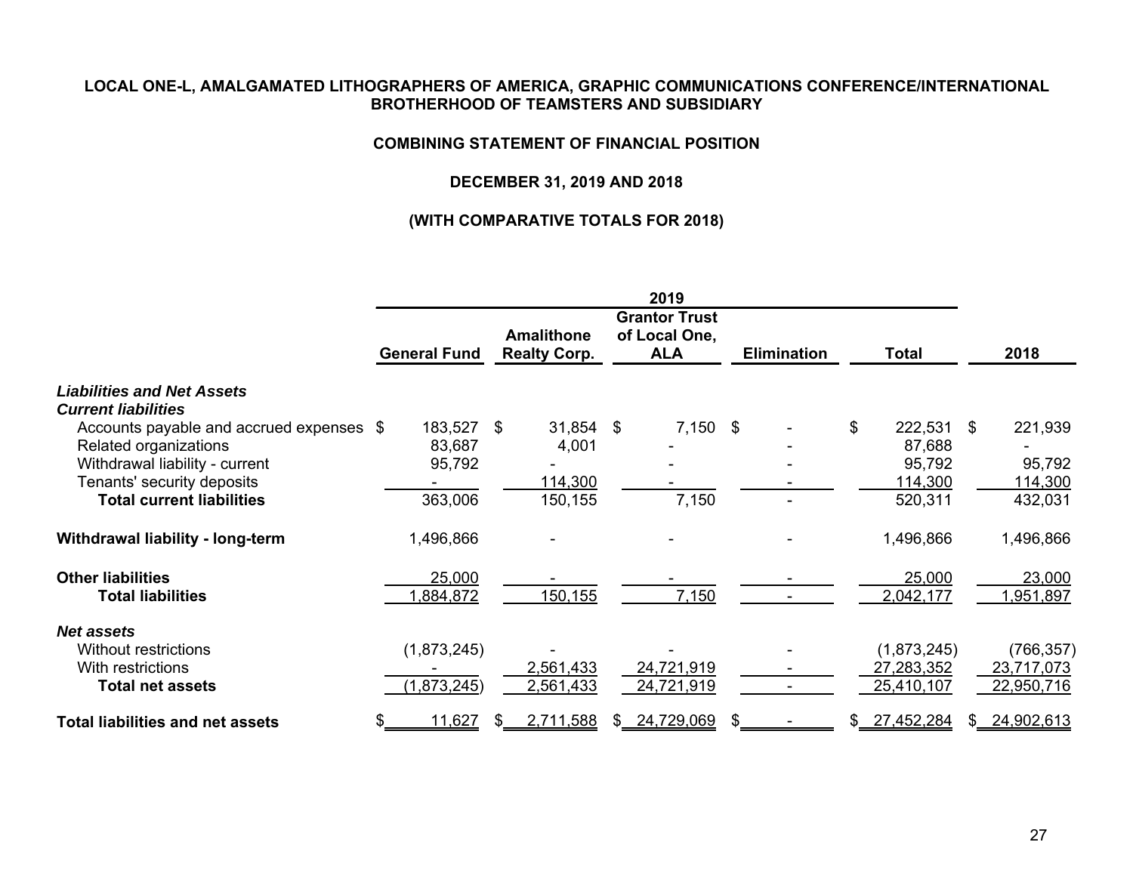#### **COMBINING STATEMENT OF FINANCIAL POSITION**

## **DECEMBER 31, 2019 AND 2018**

|                                          |                     |                                          | 2019                                                |                    |               |                   |
|------------------------------------------|---------------------|------------------------------------------|-----------------------------------------------------|--------------------|---------------|-------------------|
|                                          | <b>General Fund</b> | <b>Amalithone</b><br><b>Realty Corp.</b> | <b>Grantor Trust</b><br>of Local One,<br><b>ALA</b> | <b>Elimination</b> | <b>Total</b>  | 2018              |
| <b>Liabilities and Net Assets</b>        |                     |                                          |                                                     |                    |               |                   |
| <b>Current liabilities</b>               |                     |                                          |                                                     |                    |               |                   |
| Accounts payable and accrued expenses \$ | 183,527 \$          | 31,854                                   | $7,150$ \$<br>\$                                    |                    | \$<br>222,531 | \$<br>221,939     |
| Related organizations                    | 83,687              | 4,001                                    |                                                     |                    | 87,688        |                   |
| Withdrawal liability - current           | 95,792              |                                          |                                                     |                    | 95,792        | 95,792            |
| Tenants' security deposits               |                     | 114,300                                  |                                                     |                    | 114,300       | 114,300           |
| <b>Total current liabilities</b>         | 363,006             | 150,155                                  | 7,150                                               |                    | 520,311       | 432,031           |
| Withdrawal liability - long-term         | 1,496,866           |                                          |                                                     |                    | 1,496,866     | 1,496,866         |
| <b>Other liabilities</b>                 | 25,000              |                                          |                                                     |                    | 25,000        | 23,000            |
| <b>Total liabilities</b>                 | ,884,872            | 150,155                                  | 7,150                                               |                    | 2,042,177     | ,951,897          |
| <b>Net assets</b>                        |                     |                                          |                                                     |                    |               |                   |
| Without restrictions                     | (1,873,245)         |                                          |                                                     |                    | (1,873,245)   | (766, 357)        |
| With restrictions                        |                     | 2,561,433                                | 24,721,919                                          |                    | 27,283,352    | 23,717,073        |
| <b>Total net assets</b>                  | (1,873,245)         | 2,561,433                                | 24,721,919                                          |                    | 25,410,107    | 22,950,716        |
| <b>Total liabilities and net assets</b>  | 11,627              | 2,711,588<br>SS.                         | 24,729,069<br>\$.                                   | S.                 | \$27,452,284  | \$.<br>24,902,613 |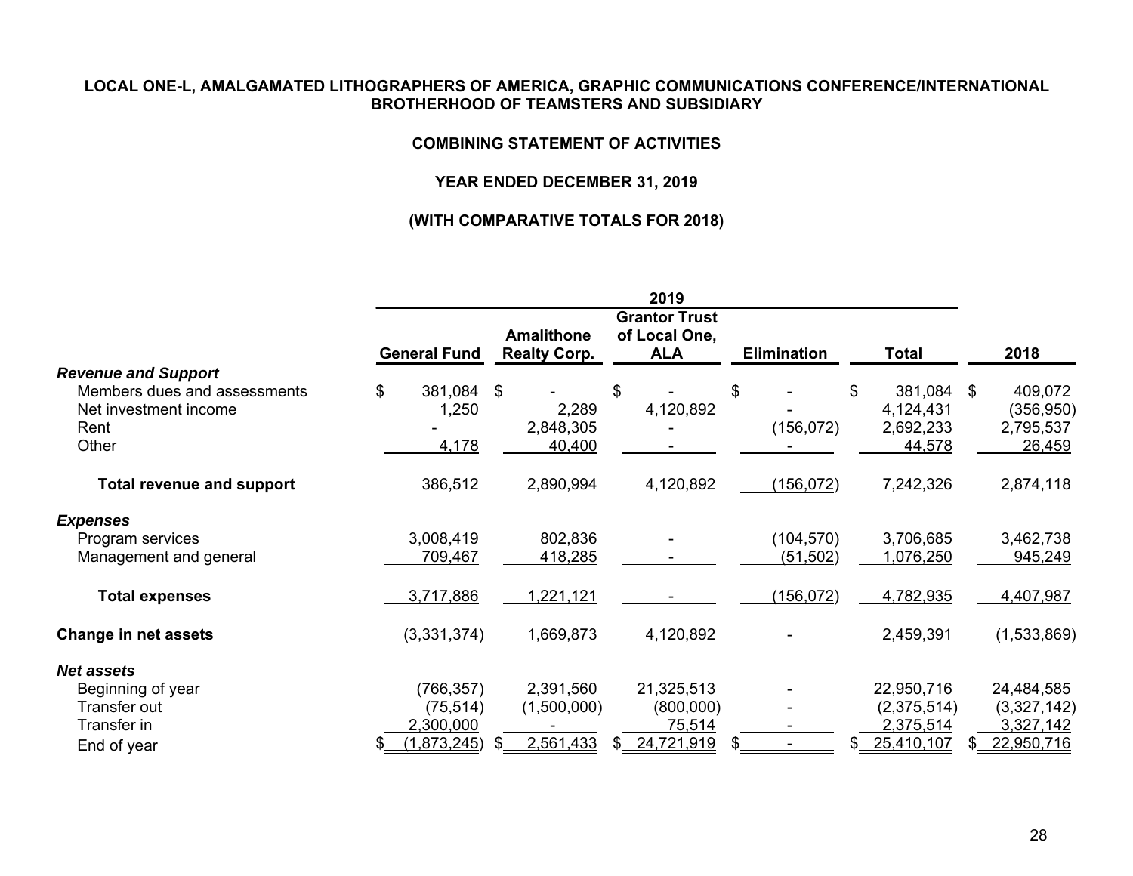#### **COMBINING STATEMENT OF ACTIVITIES**

## **YEAR ENDED DECEMBER 31, 2019**

|                                  |    |                     |  |                                          |     | 2019                                                |    |                    |              |             |      |             |
|----------------------------------|----|---------------------|--|------------------------------------------|-----|-----------------------------------------------------|----|--------------------|--------------|-------------|------|-------------|
|                                  |    | <b>General Fund</b> |  | <b>Amalithone</b><br><b>Realty Corp.</b> |     | <b>Grantor Trust</b><br>of Local One,<br><b>ALA</b> |    | <b>Elimination</b> | <b>Total</b> |             | 2018 |             |
| <b>Revenue and Support</b>       |    |                     |  |                                          |     |                                                     |    |                    |              |             |      |             |
| Members dues and assessments     | \$ | 381,084 \$          |  |                                          | \$  |                                                     | \$ |                    | \$           | 381,084     | -\$  | 409,072     |
| Net investment income            |    | 1,250               |  | 2,289                                    |     | 4,120,892                                           |    |                    |              | 4,124,431   |      | (356, 950)  |
| Rent                             |    |                     |  | 2,848,305                                |     |                                                     |    | (156, 072)         |              | 2,692,233   |      | 2,795,537   |
| Other                            |    | 4,178               |  | 40,400                                   |     |                                                     |    |                    |              | 44,578      |      | 26,459      |
| <b>Total revenue and support</b> |    | 386,512             |  | 2,890,994                                |     | 4,120,892                                           |    | (156, 072)         |              | 7,242,326   |      | 2,874,118   |
| <b>Expenses</b>                  |    |                     |  |                                          |     |                                                     |    |                    |              |             |      |             |
| Program services                 |    | 3,008,419           |  | 802,836                                  |     |                                                     |    | (104, 570)         |              | 3,706,685   |      | 3,462,738   |
| Management and general           |    | 709,467             |  | 418,285                                  |     |                                                     |    | (51, 502)          |              | 1,076,250   |      | 945,249     |
| <b>Total expenses</b>            |    | 3,717,886           |  | 1,221,121                                |     |                                                     |    | (156, 072)         |              | 4,782,935   |      | 4,407,987   |
| <b>Change in net assets</b>      |    | (3,331,374)         |  | 1,669,873                                |     | 4,120,892                                           |    |                    |              | 2,459,391   |      | (1,533,869) |
| Net assets                       |    |                     |  |                                          |     |                                                     |    |                    |              |             |      |             |
| Beginning of year                |    | (766, 357)          |  | 2,391,560                                |     | 21,325,513                                          |    |                    |              | 22,950,716  |      | 24,484,585  |
| Transfer out                     |    | (75, 514)           |  | (1,500,000)                              |     | (800,000)                                           |    |                    |              | (2,375,514) |      | (3,327,142) |
| Transfer in                      |    | 2,300,000           |  |                                          |     | 75,514                                              |    |                    |              | 2,375,514   |      | 3,327,142   |
| End of year                      |    | (1,873,245)         |  | 2,561,433                                | \$. | 24,721,919                                          |    |                    | \$           | 25,410,107  |      | 22,950,716  |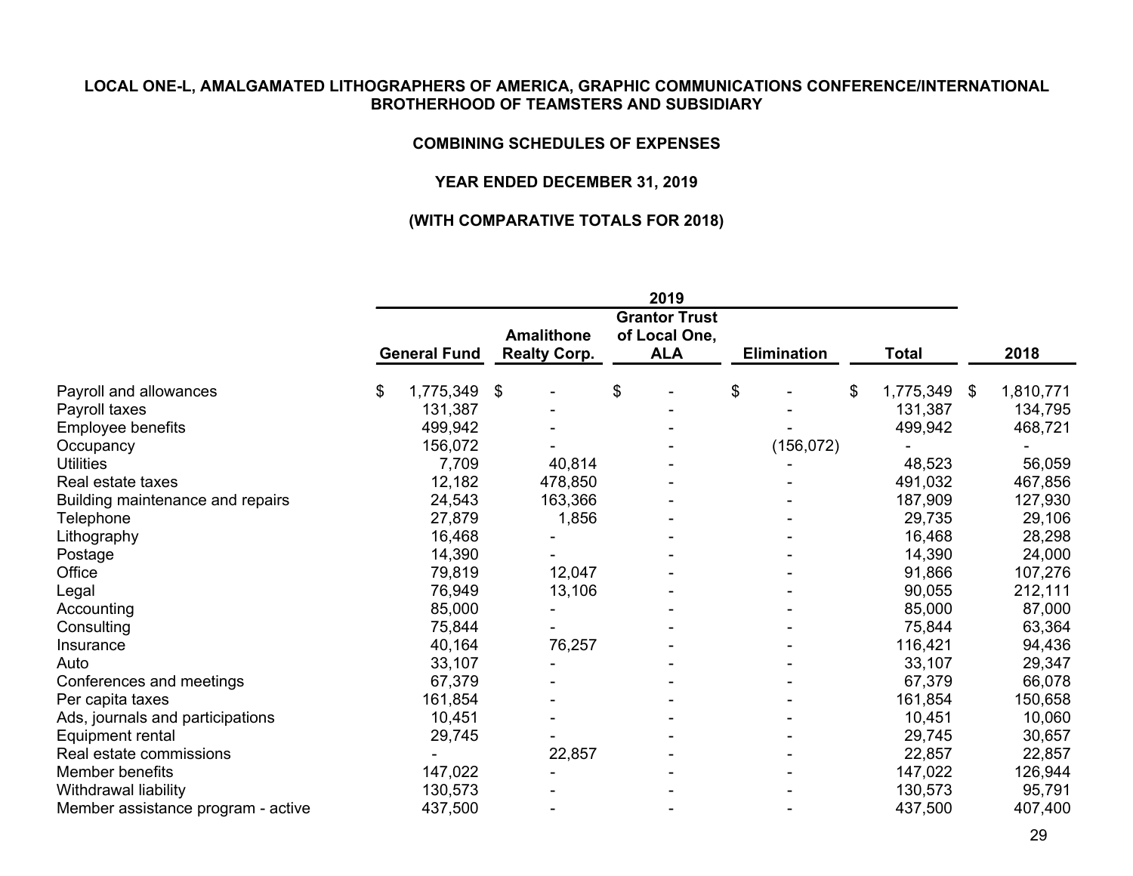#### **COMBINING SCHEDULES OF EXPENSES**

## **YEAR ENDED DECEMBER 31, 2019**

|                                    | 2019                |           |                                          |         |                                                     |  |                    |            |              |           |                 |
|------------------------------------|---------------------|-----------|------------------------------------------|---------|-----------------------------------------------------|--|--------------------|------------|--------------|-----------|-----------------|
|                                    | <b>General Fund</b> |           | <b>Amalithone</b><br><b>Realty Corp.</b> |         | <b>Grantor Trust</b><br>of Local One,<br><b>ALA</b> |  | <b>Elimination</b> |            | <b>Total</b> |           | 2018            |
|                                    |                     |           |                                          |         |                                                     |  |                    |            |              |           |                 |
| Payroll and allowances             | \$                  | 1,775,349 | -\$                                      |         | \$                                                  |  | \$                 |            | \$           | 1,775,349 | \$<br>1,810,771 |
| Payroll taxes                      |                     | 131,387   |                                          |         |                                                     |  |                    |            |              | 131,387   | 134,795         |
| Employee benefits                  |                     | 499,942   |                                          |         |                                                     |  |                    |            |              | 499,942   | 468,721         |
| Occupancy                          |                     | 156,072   |                                          |         |                                                     |  |                    | (156, 072) |              |           |                 |
| <b>Utilities</b>                   |                     | 7,709     |                                          | 40,814  |                                                     |  |                    |            |              | 48,523    | 56,059          |
| Real estate taxes                  |                     | 12,182    |                                          | 478,850 |                                                     |  |                    |            |              | 491,032   | 467,856         |
| Building maintenance and repairs   |                     | 24,543    |                                          | 163,366 |                                                     |  |                    |            |              | 187,909   | 127,930         |
| Telephone                          |                     | 27,879    |                                          | 1,856   |                                                     |  |                    |            |              | 29,735    | 29,106          |
| Lithography                        |                     | 16,468    |                                          |         |                                                     |  |                    |            |              | 16,468    | 28,298          |
| Postage                            |                     | 14,390    |                                          |         |                                                     |  |                    |            |              | 14,390    | 24,000          |
| Office                             |                     | 79,819    |                                          | 12,047  |                                                     |  |                    |            |              | 91,866    | 107,276         |
| Legal                              |                     | 76,949    |                                          | 13,106  |                                                     |  |                    |            |              | 90,055    | 212,111         |
| Accounting                         |                     | 85,000    |                                          |         |                                                     |  |                    |            |              | 85,000    | 87,000          |
| Consulting                         |                     | 75,844    |                                          |         |                                                     |  |                    |            |              | 75,844    | 63,364          |
| Insurance                          |                     | 40,164    |                                          | 76,257  |                                                     |  |                    |            |              | 116,421   | 94,436          |
| Auto                               |                     | 33,107    |                                          |         |                                                     |  |                    |            |              | 33,107    | 29,347          |
| Conferences and meetings           |                     | 67,379    |                                          |         |                                                     |  |                    |            |              | 67,379    | 66,078          |
| Per capita taxes                   |                     | 161,854   |                                          |         |                                                     |  |                    |            |              | 161,854   | 150,658         |
| Ads, journals and participations   |                     | 10,451    |                                          |         |                                                     |  |                    |            |              | 10,451    | 10,060          |
| Equipment rental                   |                     | 29,745    |                                          |         |                                                     |  |                    |            |              | 29,745    | 30,657          |
| Real estate commissions            |                     |           |                                          | 22,857  |                                                     |  |                    |            |              | 22,857    | 22,857          |
| Member benefits                    |                     | 147,022   |                                          |         |                                                     |  |                    |            |              | 147,022   | 126,944         |
| Withdrawal liability               |                     | 130,573   |                                          |         |                                                     |  |                    |            |              | 130,573   | 95,791          |
| Member assistance program - active |                     | 437,500   |                                          |         |                                                     |  |                    |            |              | 437,500   | 407,400         |